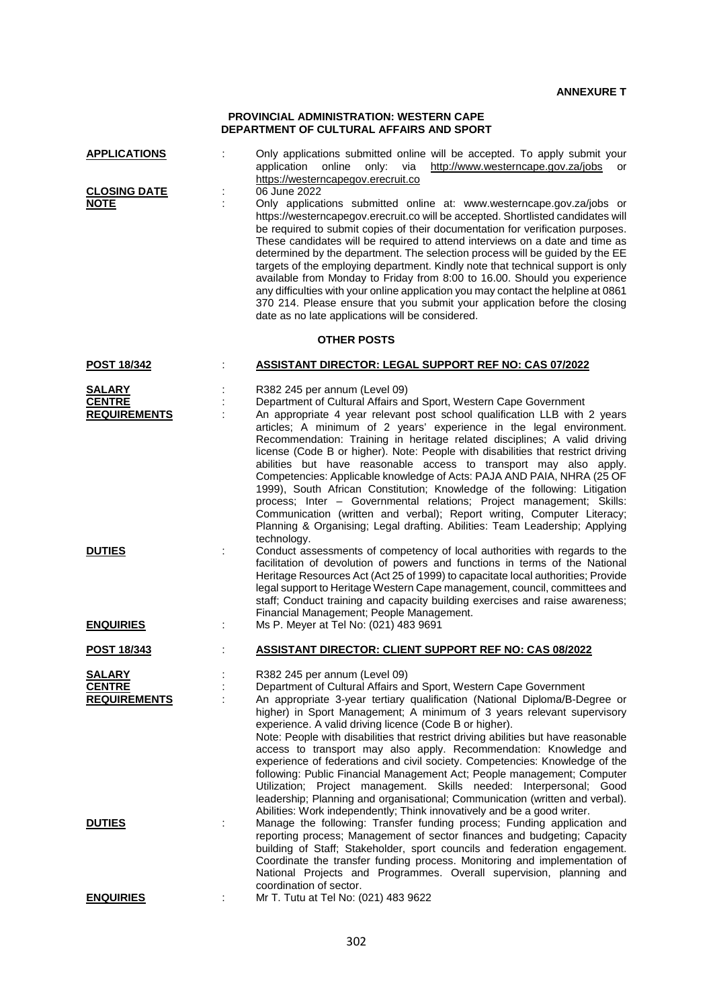## **PROVINCIAL ADMINISTRATION: WESTERN CAPE DEPARTMENT OF CULTURAL AFFAIRS AND SPORT**

| <b>APPLICATIONS</b>                                   |   | Only applications submitted online will be accepted. To apply submit your<br>http://www.westerncape.gov.za/jobs<br>application<br>online<br>only:<br>via<br>or<br>https://westerncapegov.erecruit.co                                                                                                                                                                                                                                                                                                                                                                                                                                                                                                                                                                                                                                                                                                 |
|-------------------------------------------------------|---|------------------------------------------------------------------------------------------------------------------------------------------------------------------------------------------------------------------------------------------------------------------------------------------------------------------------------------------------------------------------------------------------------------------------------------------------------------------------------------------------------------------------------------------------------------------------------------------------------------------------------------------------------------------------------------------------------------------------------------------------------------------------------------------------------------------------------------------------------------------------------------------------------|
| <b>CLOSING DATE</b><br><b>NOTE</b>                    | ÷ | 06 June 2022<br>Only applications submitted online at: www.westerncape.gov.za/jobs or<br>https://westerncapegov.erecruit.co will be accepted. Shortlisted candidates will<br>be required to submit copies of their documentation for verification purposes.<br>These candidates will be required to attend interviews on a date and time as<br>determined by the department. The selection process will be guided by the EE<br>targets of the employing department. Kindly note that technical support is only<br>available from Monday to Friday from 8:00 to 16.00. Should you experience<br>any difficulties with your online application you may contact the helpline at 0861<br>370 214. Please ensure that you submit your application before the closing<br>date as no late applications will be considered.                                                                                  |
|                                                       |   | <b>OTHER POSTS</b>                                                                                                                                                                                                                                                                                                                                                                                                                                                                                                                                                                                                                                                                                                                                                                                                                                                                                   |
| <u>POST 18/342</u>                                    |   | <b>ASSISTANT DIRECTOR: LEGAL SUPPORT REF NO: CAS 07/2022</b>                                                                                                                                                                                                                                                                                                                                                                                                                                                                                                                                                                                                                                                                                                                                                                                                                                         |
| <b>SALARY</b><br><b>CENTRE</b><br><b>REQUIREMENTS</b> |   | R382 245 per annum (Level 09)<br>Department of Cultural Affairs and Sport, Western Cape Government<br>An appropriate 4 year relevant post school qualification LLB with 2 years<br>articles; A minimum of 2 years' experience in the legal environment.<br>Recommendation: Training in heritage related disciplines; A valid driving<br>license (Code B or higher). Note: People with disabilities that restrict driving<br>abilities but have reasonable access to transport may also apply.<br>Competencies: Applicable knowledge of Acts: PAJA AND PAIA, NHRA (25 OF<br>1999), South African Constitution; Knowledge of the following: Litigation<br>process; Inter - Governmental relations; Project management; Skills:<br>Communication (written and verbal); Report writing, Computer Literacy;<br>Planning & Organising; Legal drafting. Abilities: Team Leadership; Applying<br>technology. |
| <b>DUTIES</b><br><b>ENQUIRIES</b>                     | ÷ | Conduct assessments of competency of local authorities with regards to the<br>facilitation of devolution of powers and functions in terms of the National<br>Heritage Resources Act (Act 25 of 1999) to capacitate local authorities; Provide<br>legal support to Heritage Western Cape management, council, committees and<br>staff; Conduct training and capacity building exercises and raise awareness;<br>Financial Management; People Management.<br>Ms P. Meyer at Tel No: (021) 483 9691                                                                                                                                                                                                                                                                                                                                                                                                     |
| <b>POST 18/343</b>                                    |   | <b>ASSISTANT DIRECTOR: CLIENT SUPPORT REF NO: CAS 08/2022</b>                                                                                                                                                                                                                                                                                                                                                                                                                                                                                                                                                                                                                                                                                                                                                                                                                                        |
| <b>SALARY</b><br><b>CENTRE</b><br><b>REQUIREMENTS</b> |   | R382 245 per annum (Level 09)<br>Department of Cultural Affairs and Sport, Western Cape Government<br>An appropriate 3-year tertiary qualification (National Diploma/B-Degree or<br>higher) in Sport Management; A minimum of 3 years relevant supervisory<br>experience. A valid driving licence (Code B or higher).<br>Note: People with disabilities that restrict driving abilities but have reasonable<br>access to transport may also apply. Recommendation: Knowledge and<br>experience of federations and civil society. Competencies: Knowledge of the<br>following: Public Financial Management Act; People management; Computer<br>Utilization; Project management. Skills needed: Interpersonal; Good<br>leadership; Planning and organisational; Communication (written and verbal).<br>Abilities: Work independently; Think innovatively and be a good writer.                         |
| <b>DUTIES</b>                                         |   | Manage the following: Transfer funding process; Funding application and<br>reporting process; Management of sector finances and budgeting; Capacity<br>building of Staff; Stakeholder, sport councils and federation engagement.<br>Coordinate the transfer funding process. Monitoring and implementation of<br>National Projects and Programmes. Overall supervision, planning and<br>coordination of sector.                                                                                                                                                                                                                                                                                                                                                                                                                                                                                      |
| <b>ENQUIRIES</b>                                      |   | Mr T. Tutu at Tel No: (021) 483 9622                                                                                                                                                                                                                                                                                                                                                                                                                                                                                                                                                                                                                                                                                                                                                                                                                                                                 |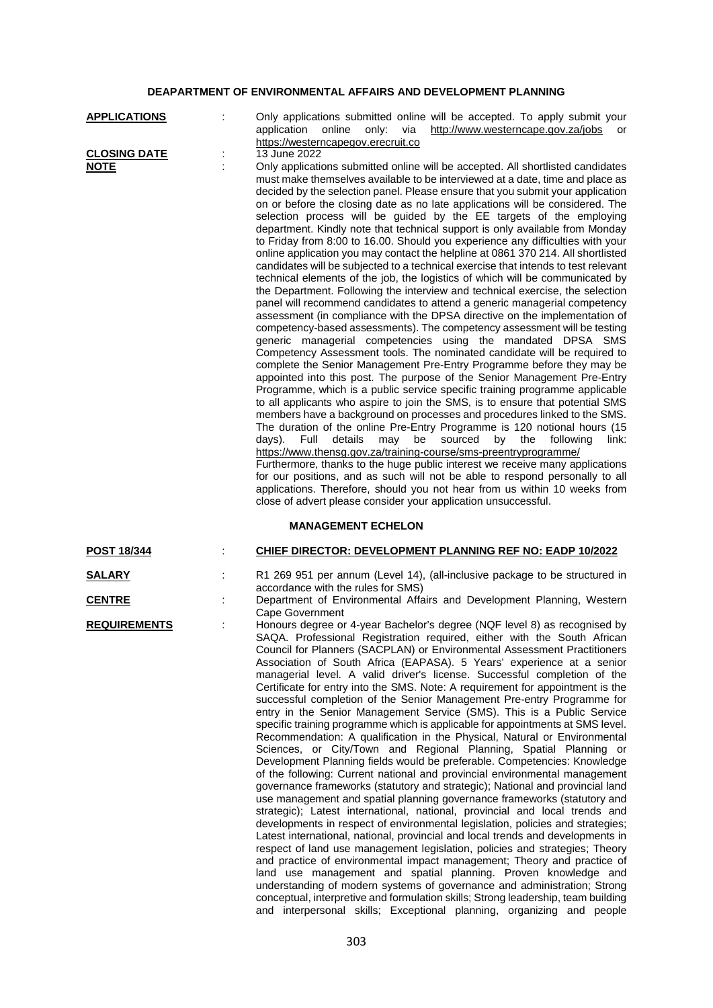## **DEAPARTMENT OF ENVIRONMENTAL AFFAIRS AND DEVELOPMENT PLANNING**

| <b>APPLICATIONS</b><br><b>CLOSING DATE</b> | Only applications submitted online will be accepted. To apply submit your<br>application<br>online<br>only:<br>via<br>http://www.westerncape.gov.za/jobs<br>or<br>https://westerncapegov.erecruit.co<br>13 June 2022                                                                                                                                                                                                                                                                                                                                                                                                                                                                                                                                                                                                                                                                                                                                                                                                                                                                                                                                                                                                                                                                                                                                                                                                                                                                                                                                                                                                                                                                                                                                                                                                                                                                                                                                                                                                                                                                                                                                                                                                                                               |
|--------------------------------------------|--------------------------------------------------------------------------------------------------------------------------------------------------------------------------------------------------------------------------------------------------------------------------------------------------------------------------------------------------------------------------------------------------------------------------------------------------------------------------------------------------------------------------------------------------------------------------------------------------------------------------------------------------------------------------------------------------------------------------------------------------------------------------------------------------------------------------------------------------------------------------------------------------------------------------------------------------------------------------------------------------------------------------------------------------------------------------------------------------------------------------------------------------------------------------------------------------------------------------------------------------------------------------------------------------------------------------------------------------------------------------------------------------------------------------------------------------------------------------------------------------------------------------------------------------------------------------------------------------------------------------------------------------------------------------------------------------------------------------------------------------------------------------------------------------------------------------------------------------------------------------------------------------------------------------------------------------------------------------------------------------------------------------------------------------------------------------------------------------------------------------------------------------------------------------------------------------------------------------------------------------------------------|
| <u>NOTE</u>                                | Only applications submitted online will be accepted. All shortlisted candidates<br>must make themselves available to be interviewed at a date, time and place as<br>decided by the selection panel. Please ensure that you submit your application<br>on or before the closing date as no late applications will be considered. The<br>selection process will be guided by the EE targets of the employing<br>department. Kindly note that technical support is only available from Monday<br>to Friday from 8:00 to 16.00. Should you experience any difficulties with your<br>online application you may contact the helpline at 0861 370 214. All shortlisted<br>candidates will be subjected to a technical exercise that intends to test relevant<br>technical elements of the job, the logistics of which will be communicated by<br>the Department. Following the interview and technical exercise, the selection<br>panel will recommend candidates to attend a generic managerial competency<br>assessment (in compliance with the DPSA directive on the implementation of<br>competency-based assessments). The competency assessment will be testing<br>generic managerial competencies using the mandated DPSA SMS<br>Competency Assessment tools. The nominated candidate will be required to<br>complete the Senior Management Pre-Entry Programme before they may be<br>appointed into this post. The purpose of the Senior Management Pre-Entry<br>Programme, which is a public service specific training programme applicable<br>to all applicants who aspire to join the SMS, is to ensure that potential SMS<br>members have a background on processes and procedures linked to the SMS.<br>The duration of the online Pre-Entry Programme is 120 notional hours (15<br>days).<br>Full<br>details<br>sourced<br>following<br>link:<br>may<br>be<br>by<br>the<br>https://www.thensg.gov.za/training-course/sms-preentryprogramme/<br>Furthermore, thanks to the huge public interest we receive many applications<br>for our positions, and as such will not be able to respond personally to all<br>applications. Therefore, should you not hear from us within 10 weeks from<br>close of advert please consider your application unsuccessful. |
|                                            | <b>MANAGEMENT ECHELON</b>                                                                                                                                                                                                                                                                                                                                                                                                                                                                                                                                                                                                                                                                                                                                                                                                                                                                                                                                                                                                                                                                                                                                                                                                                                                                                                                                                                                                                                                                                                                                                                                                                                                                                                                                                                                                                                                                                                                                                                                                                                                                                                                                                                                                                                          |
| POST 18/344                                | CHIEF DIRECTOR: DEVELOPMENT PLANNING REF NO: EADP 10/2022                                                                                                                                                                                                                                                                                                                                                                                                                                                                                                                                                                                                                                                                                                                                                                                                                                                                                                                                                                                                                                                                                                                                                                                                                                                                                                                                                                                                                                                                                                                                                                                                                                                                                                                                                                                                                                                                                                                                                                                                                                                                                                                                                                                                          |
| <u>SALARY</u>                              | R1 269 951 per annum (Level 14), (all-inclusive package to be structured in<br>accordance with the rules for SMS)                                                                                                                                                                                                                                                                                                                                                                                                                                                                                                                                                                                                                                                                                                                                                                                                                                                                                                                                                                                                                                                                                                                                                                                                                                                                                                                                                                                                                                                                                                                                                                                                                                                                                                                                                                                                                                                                                                                                                                                                                                                                                                                                                  |
| <b>CENTRE</b>                              | Department of Environmental Affairs and Development Planning, Western<br>Cape Government                                                                                                                                                                                                                                                                                                                                                                                                                                                                                                                                                                                                                                                                                                                                                                                                                                                                                                                                                                                                                                                                                                                                                                                                                                                                                                                                                                                                                                                                                                                                                                                                                                                                                                                                                                                                                                                                                                                                                                                                                                                                                                                                                                           |
| <b>REQUIREMENTS</b>                        | Honours degree or 4-year Bachelor's degree (NQF level 8) as recognised by<br>SAQA. Professional Registration required, either with the South African<br>Council for Planners (SACPLAN) or Environmental Assessment Practitioners<br>Association of South Africa (EAPASA). 5 Years' experience at a senior<br>managerial level. A valid driver's license. Successful completion of the<br>Certificate for entry into the SMS. Note: A requirement for appointment is the<br>successful completion of the Senior Management Pre-entry Programme for<br>entry in the Senior Management Service (SMS). This is a Public Service<br>specific training programme which is applicable for appointments at SMS level.<br>Recommendation: A qualification in the Physical, Natural or Environmental<br>Sciences, or City/Town and Regional Planning, Spatial Planning or<br>Development Planning fields would be preferable. Competencies: Knowledge<br>of the following: Current national and provincial environmental management<br>governance frameworks (statutory and strategic); National and provincial land<br>use management and spatial planning governance frameworks (statutory and<br>strategic); Latest international, national, provincial and local trends and<br>developments in respect of environmental legislation, policies and strategies;<br>Latest international, national, provincial and local trends and developments in<br>respect of land use management legislation, policies and strategies; Theory<br>and practice of environmental impact management; Theory and practice of<br>land use management and spatial planning. Proven knowledge and<br>understanding of modern systems of governance and administration; Strong                                                                                                                                                                                                                                                                                                                                                                                                                                                                                                                 |

conceptual, interpretive and formulation skills; Strong leadership, team building and interpersonal skills; Exceptional planning, organizing and people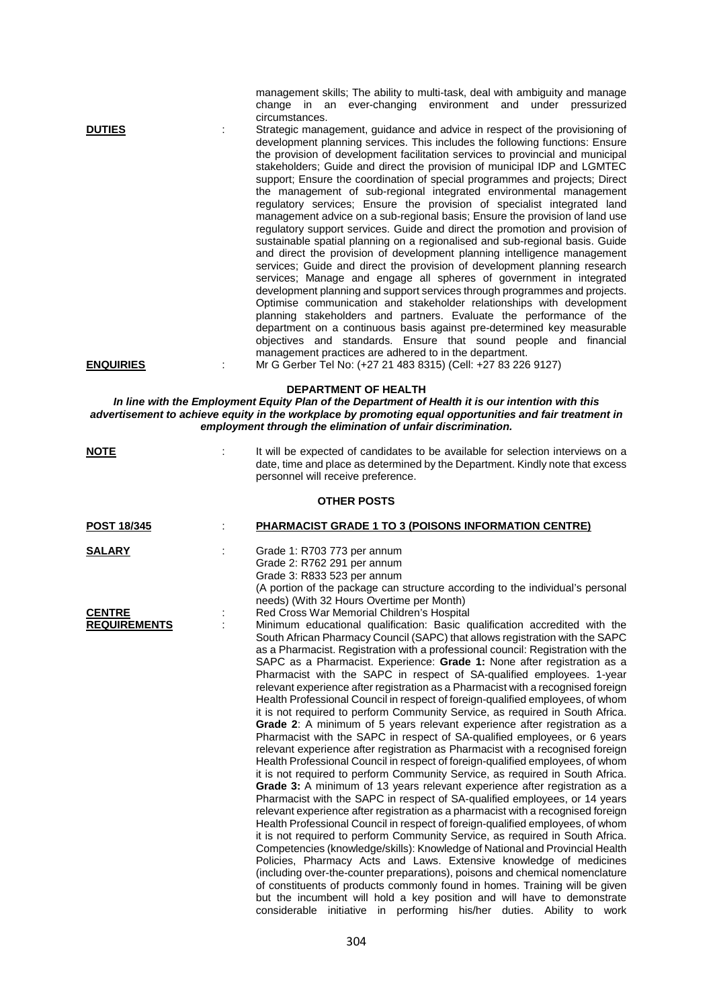| <b>DUTIES</b>                        |   | management skills; The ability to multi-task, deal with ambiguity and manage<br>change in an ever-changing<br>environment and under pressurized<br>circumstances.<br>Strategic management, guidance and advice in respect of the provisioning of<br>development planning services. This includes the following functions: Ensure<br>the provision of development facilitation services to provincial and municipal<br>stakeholders; Guide and direct the provision of municipal IDP and LGMTEC<br>support; Ensure the coordination of special programmes and projects; Direct<br>the management of sub-regional integrated environmental management<br>regulatory services; Ensure the provision of specialist integrated land<br>management advice on a sub-regional basis; Ensure the provision of land use<br>regulatory support services. Guide and direct the promotion and provision of<br>sustainable spatial planning on a regionalised and sub-regional basis. Guide<br>and direct the provision of development planning intelligence management<br>services; Guide and direct the provision of development planning research<br>services; Manage and engage all spheres of government in integrated<br>development planning and support services through programmes and projects.<br>Optimise communication and stakeholder relationships with development<br>planning stakeholders and partners. Evaluate the performance of the                                                                                                                                                                                                                                                                                                                                                                                                                                                                                                                                                                        |
|--------------------------------------|---|--------------------------------------------------------------------------------------------------------------------------------------------------------------------------------------------------------------------------------------------------------------------------------------------------------------------------------------------------------------------------------------------------------------------------------------------------------------------------------------------------------------------------------------------------------------------------------------------------------------------------------------------------------------------------------------------------------------------------------------------------------------------------------------------------------------------------------------------------------------------------------------------------------------------------------------------------------------------------------------------------------------------------------------------------------------------------------------------------------------------------------------------------------------------------------------------------------------------------------------------------------------------------------------------------------------------------------------------------------------------------------------------------------------------------------------------------------------------------------------------------------------------------------------------------------------------------------------------------------------------------------------------------------------------------------------------------------------------------------------------------------------------------------------------------------------------------------------------------------------------------------------------------------------------------------------------------------------------------------------------------------------------|
|                                      |   | department on a continuous basis against pre-determined key measurable<br>objectives and standards. Ensure that sound people and financial                                                                                                                                                                                                                                                                                                                                                                                                                                                                                                                                                                                                                                                                                                                                                                                                                                                                                                                                                                                                                                                                                                                                                                                                                                                                                                                                                                                                                                                                                                                                                                                                                                                                                                                                                                                                                                                                         |
| <b>ENQUIRIES</b>                     |   | management practices are adhered to in the department.<br>Mr G Gerber Tel No: (+27 21 483 8315) (Cell: +27 83 226 9127)                                                                                                                                                                                                                                                                                                                                                                                                                                                                                                                                                                                                                                                                                                                                                                                                                                                                                                                                                                                                                                                                                                                                                                                                                                                                                                                                                                                                                                                                                                                                                                                                                                                                                                                                                                                                                                                                                            |
|                                      |   | <b>DEPARTMENT OF HEALTH</b><br>In line with the Employment Equity Plan of the Department of Health it is our intention with this<br>advertisement to achieve equity in the workplace by promoting equal opportunities and fair treatment in<br>employment through the elimination of unfair discrimination.                                                                                                                                                                                                                                                                                                                                                                                                                                                                                                                                                                                                                                                                                                                                                                                                                                                                                                                                                                                                                                                                                                                                                                                                                                                                                                                                                                                                                                                                                                                                                                                                                                                                                                        |
| <b>NOTE</b>                          |   | It will be expected of candidates to be available for selection interviews on a<br>date, time and place as determined by the Department. Kindly note that excess<br>personnel will receive preference.                                                                                                                                                                                                                                                                                                                                                                                                                                                                                                                                                                                                                                                                                                                                                                                                                                                                                                                                                                                                                                                                                                                                                                                                                                                                                                                                                                                                                                                                                                                                                                                                                                                                                                                                                                                                             |
|                                      |   | <b>OTHER POSTS</b>                                                                                                                                                                                                                                                                                                                                                                                                                                                                                                                                                                                                                                                                                                                                                                                                                                                                                                                                                                                                                                                                                                                                                                                                                                                                                                                                                                                                                                                                                                                                                                                                                                                                                                                                                                                                                                                                                                                                                                                                 |
| <b>POST 18/345</b>                   | ÷ | PHARMACIST GRADE 1 TO 3 (POISONS INFORMATION CENTRE)                                                                                                                                                                                                                                                                                                                                                                                                                                                                                                                                                                                                                                                                                                                                                                                                                                                                                                                                                                                                                                                                                                                                                                                                                                                                                                                                                                                                                                                                                                                                                                                                                                                                                                                                                                                                                                                                                                                                                               |
| <b>SALARY</b>                        |   | Grade 1: R703 773 per annum<br>Grade 2: R762 291 per annum<br>Grade 3: R833 523 per annum<br>(A portion of the package can structure according to the individual's personal<br>needs) (With 32 Hours Overtime per Month)                                                                                                                                                                                                                                                                                                                                                                                                                                                                                                                                                                                                                                                                                                                                                                                                                                                                                                                                                                                                                                                                                                                                                                                                                                                                                                                                                                                                                                                                                                                                                                                                                                                                                                                                                                                           |
| <b>CENTRE</b><br><b>REQUIREMENTS</b> |   | Red Cross War Memorial Children's Hospital<br>Minimum educational qualification: Basic qualification accredited with the<br>South African Pharmacy Council (SAPC) that allows registration with the SAPC<br>as a Pharmacist. Registration with a professional council: Registration with the<br>SAPC as a Pharmacist. Experience: Grade 1: None after registration as a<br>Pharmacist with the SAPC in respect of SA-qualified employees. 1-year<br>relevant experience after registration as a Pharmacist with a recognised foreign<br>Health Professional Council in respect of foreign-qualified employees, of whom<br>it is not required to perform Community Service, as required in South Africa.<br>Grade 2: A minimum of 5 years relevant experience after registration as a<br>Pharmacist with the SAPC in respect of SA-qualified employees, or 6 years<br>relevant experience after registration as Pharmacist with a recognised foreign<br>Health Professional Council in respect of foreign-qualified employees, of whom<br>it is not required to perform Community Service, as required in South Africa.<br>Grade 3: A minimum of 13 years relevant experience after registration as a<br>Pharmacist with the SAPC in respect of SA-qualified employees, or 14 years<br>relevant experience after registration as a pharmacist with a recognised foreign<br>Health Professional Council in respect of foreign-qualified employees, of whom<br>it is not required to perform Community Service, as required in South Africa.<br>Competencies (knowledge/skills): Knowledge of National and Provincial Health<br>Policies, Pharmacy Acts and Laws. Extensive knowledge of medicines<br>(including over-the-counter preparations), poisons and chemical nomenclature<br>of constituents of products commonly found in homes. Training will be given<br>but the incumbent will hold a key position and will have to demonstrate<br>considerable initiative in performing his/her duties. Ability to work |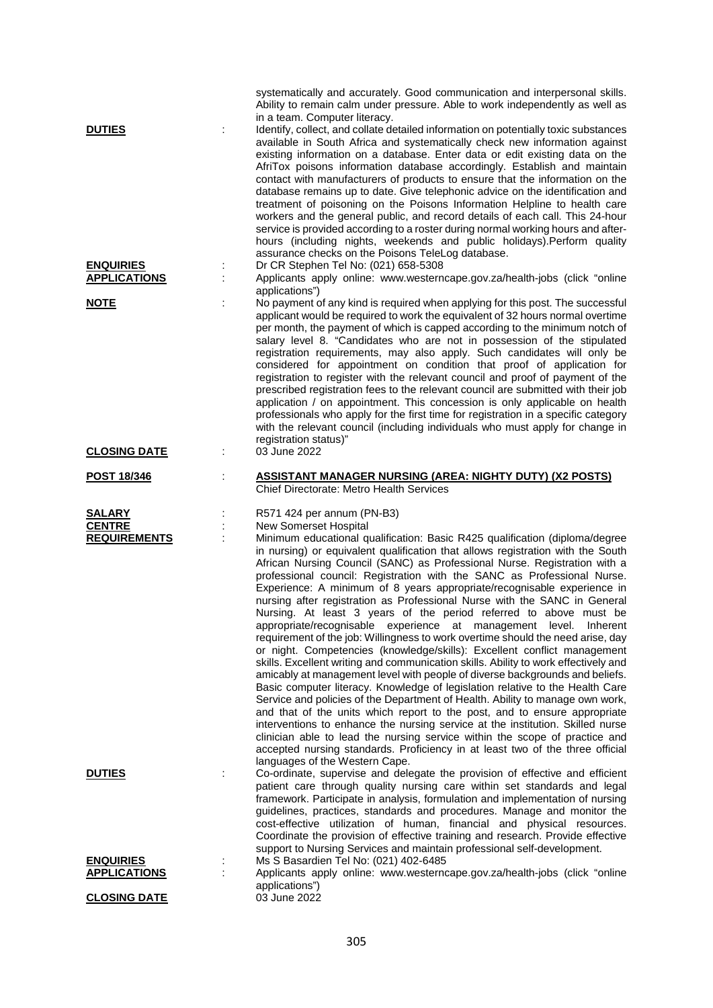|                                                |        | systematically and accurately. Good communication and interpersonal skills.<br>Ability to remain calm under pressure. Able to work independently as well as<br>in a team. Computer literacy.                                                                                                                                                                                                                                                                                                                                                                                                                                                                                                                                                                                                                                                                                                                                                                                                                                                                                                                                                                                                                                                                                                                                                                                                                                                                                                                                  |
|------------------------------------------------|--------|-------------------------------------------------------------------------------------------------------------------------------------------------------------------------------------------------------------------------------------------------------------------------------------------------------------------------------------------------------------------------------------------------------------------------------------------------------------------------------------------------------------------------------------------------------------------------------------------------------------------------------------------------------------------------------------------------------------------------------------------------------------------------------------------------------------------------------------------------------------------------------------------------------------------------------------------------------------------------------------------------------------------------------------------------------------------------------------------------------------------------------------------------------------------------------------------------------------------------------------------------------------------------------------------------------------------------------------------------------------------------------------------------------------------------------------------------------------------------------------------------------------------------------|
| <b>DUTIES</b>                                  |        | Identify, collect, and collate detailed information on potentially toxic substances<br>available in South Africa and systematically check new information against<br>existing information on a database. Enter data or edit existing data on the<br>AfriTox poisons information database accordingly. Establish and maintain<br>contact with manufacturers of products to ensure that the information on the<br>database remains up to date. Give telephonic advice on the identification and<br>treatment of poisoning on the Poisons Information Helpline to health care<br>workers and the general public, and record details of each call. This 24-hour<br>service is provided according to a roster during normal working hours and after-<br>hours (including nights, weekends and public holidays). Perform quality<br>assurance checks on the Poisons TeleLog database.                                                                                                                                                                                                                                                                                                                                                                                                                                                                                                                                                                                                                                               |
| <b>ENQUIRIES</b><br><b>APPLICATIONS</b>        |        | Dr CR Stephen Tel No: (021) 658-5308<br>Applicants apply online: www.westerncape.gov.za/health-jobs (click "online                                                                                                                                                                                                                                                                                                                                                                                                                                                                                                                                                                                                                                                                                                                                                                                                                                                                                                                                                                                                                                                                                                                                                                                                                                                                                                                                                                                                            |
| <u>NOTE</u>                                    |        | applications")<br>No payment of any kind is required when applying for this post. The successful<br>applicant would be required to work the equivalent of 32 hours normal overtime<br>per month, the payment of which is capped according to the minimum notch of<br>salary level 8. "Candidates who are not in possession of the stipulated<br>registration requirements, may also apply. Such candidates will only be<br>considered for appointment on condition that proof of application for<br>registration to register with the relevant council and proof of payment of the<br>prescribed registration fees to the relevant council are submitted with their job<br>application / on appointment. This concession is only applicable on health<br>professionals who apply for the first time for registration in a specific category<br>with the relevant council (including individuals who must apply for change in<br>registration status)"                                                                                                                                                                                                                                                                                                                                                                                                                                                                                                                                                                         |
| <b>CLOSING DATE</b>                            |        | 03 June 2022                                                                                                                                                                                                                                                                                                                                                                                                                                                                                                                                                                                                                                                                                                                                                                                                                                                                                                                                                                                                                                                                                                                                                                                                                                                                                                                                                                                                                                                                                                                  |
| POST 18/346                                    | t.     | <b>ASSISTANT MANAGER NURSING (AREA: NIGHTY DUTY) (X2 POSTS)</b>                                                                                                                                                                                                                                                                                                                                                                                                                                                                                                                                                                                                                                                                                                                                                                                                                                                                                                                                                                                                                                                                                                                                                                                                                                                                                                                                                                                                                                                               |
|                                                |        | <b>Chief Directorate: Metro Health Services</b>                                                                                                                                                                                                                                                                                                                                                                                                                                                                                                                                                                                                                                                                                                                                                                                                                                                                                                                                                                                                                                                                                                                                                                                                                                                                                                                                                                                                                                                                               |
| SALARY<br><b>CENTRE</b><br><b>REQUIREMENTS</b> | ÷<br>t | R571 424 per annum (PN-B3)<br><b>New Somerset Hospital</b><br>Minimum educational qualification: Basic R425 qualification (diploma/degree<br>in nursing) or equivalent qualification that allows registration with the South<br>African Nursing Council (SANC) as Professional Nurse. Registration with a<br>professional council: Registration with the SANC as Professional Nurse.<br>Experience: A minimum of 8 years appropriate/recognisable experience in<br>nursing after registration as Professional Nurse with the SANC in General<br>Nursing. At least 3 years of the period referred to above must be<br>appropriate/recognisable experience at management level. Inherent<br>requirement of the job: Willingness to work overtime should the need arise, day<br>or night. Competencies (knowledge/skills): Excellent conflict management<br>skills. Excellent writing and communication skills. Ability to work effectively and<br>amicably at management level with people of diverse backgrounds and beliefs.<br>Basic computer literacy. Knowledge of legislation relative to the Health Care<br>Service and policies of the Department of Health. Ability to manage own work,<br>and that of the units which report to the post, and to ensure appropriate<br>interventions to enhance the nursing service at the institution. Skilled nurse<br>clinician able to lead the nursing service within the scope of practice and<br>accepted nursing standards. Proficiency in at least two of the three official |
| <b>DUTIES</b>                                  | ÷      | languages of the Western Cape.<br>Co-ordinate, supervise and delegate the provision of effective and efficient<br>patient care through quality nursing care within set standards and legal<br>framework. Participate in analysis, formulation and implementation of nursing<br>guidelines, practices, standards and procedures. Manage and monitor the<br>cost-effective utilization of human, financial and physical resources.<br>Coordinate the provision of effective training and research. Provide effective<br>support to Nursing Services and maintain professional self-development.                                                                                                                                                                                                                                                                                                                                                                                                                                                                                                                                                                                                                                                                                                                                                                                                                                                                                                                                 |
| <b>ENQUIRIES</b><br><b>APPLICATIONS</b>        |        | Ms S Basardien Tel No: (021) 402-6485<br>Applicants apply online: www.westerncape.gov.za/health-jobs (click "online<br>applications")                                                                                                                                                                                                                                                                                                                                                                                                                                                                                                                                                                                                                                                                                                                                                                                                                                                                                                                                                                                                                                                                                                                                                                                                                                                                                                                                                                                         |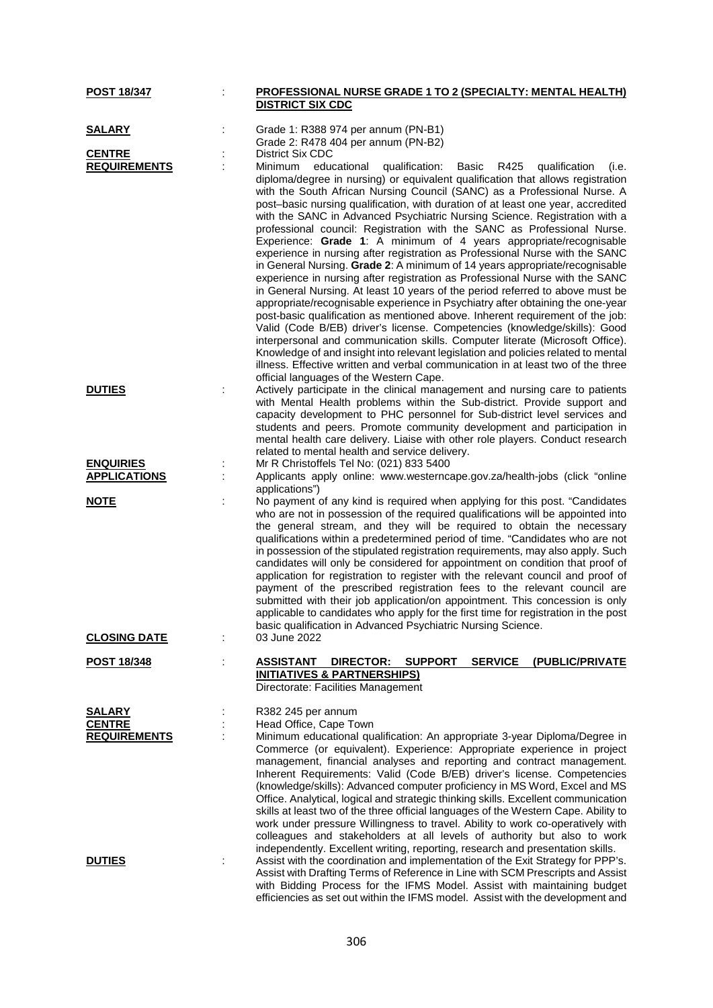| <b>POST 18/347</b>                                    |   | PROFESSIONAL NURSE GRADE 1 TO 2 (SPECIALTY: MENTAL HEALTH)<br><b>DISTRICT SIX CDC</b>                                                                                                                                                                                                                                                                                                                                                                                                                                                                                                                                                                                                                                                                                                                                                                                                                                                                                                                                                                                                                            |
|-------------------------------------------------------|---|------------------------------------------------------------------------------------------------------------------------------------------------------------------------------------------------------------------------------------------------------------------------------------------------------------------------------------------------------------------------------------------------------------------------------------------------------------------------------------------------------------------------------------------------------------------------------------------------------------------------------------------------------------------------------------------------------------------------------------------------------------------------------------------------------------------------------------------------------------------------------------------------------------------------------------------------------------------------------------------------------------------------------------------------------------------------------------------------------------------|
| <u>SALARY</u>                                         |   | Grade 1: R388 974 per annum (PN-B1)<br>Grade 2: R478 404 per annum (PN-B2)                                                                                                                                                                                                                                                                                                                                                                                                                                                                                                                                                                                                                                                                                                                                                                                                                                                                                                                                                                                                                                       |
| <b>CENTRE</b><br><b>REQUIREMENTS</b>                  |   | District Six CDC<br>Minimum<br>educational<br>qualification:<br>Basic<br>R425<br>qualification<br>(i.e.<br>diploma/degree in nursing) or equivalent qualification that allows registration<br>with the South African Nursing Council (SANC) as a Professional Nurse. A<br>post-basic nursing qualification, with duration of at least one year, accredited                                                                                                                                                                                                                                                                                                                                                                                                                                                                                                                                                                                                                                                                                                                                                       |
|                                                       |   | with the SANC in Advanced Psychiatric Nursing Science. Registration with a<br>professional council: Registration with the SANC as Professional Nurse.<br>Experience: Grade 1: A minimum of 4 years appropriate/recognisable<br>experience in nursing after registration as Professional Nurse with the SANC<br>in General Nursing. Grade 2: A minimum of 14 years appropriate/recognisable<br>experience in nursing after registration as Professional Nurse with the SANC<br>in General Nursing. At least 10 years of the period referred to above must be<br>appropriate/recognisable experience in Psychiatry after obtaining the one-year<br>post-basic qualification as mentioned above. Inherent requirement of the job:<br>Valid (Code B/EB) driver's license. Competencies (knowledge/skills): Good<br>interpersonal and communication skills. Computer literate (Microsoft Office).<br>Knowledge of and insight into relevant legislation and policies related to mental<br>illness. Effective written and verbal communication in at least two of the three<br>official languages of the Western Cape. |
| <b>DUTIES</b>                                         | t | Actively participate in the clinical management and nursing care to patients<br>with Mental Health problems within the Sub-district. Provide support and<br>capacity development to PHC personnel for Sub-district level services and<br>students and peers. Promote community development and participation in<br>mental health care delivery. Liaise with other role players. Conduct research<br>related to mental health and service delivery.                                                                                                                                                                                                                                                                                                                                                                                                                                                                                                                                                                                                                                                               |
| <b>ENQUIRIES</b><br><b>APPLICATIONS</b>               |   | Mr R Christoffels Tel No: (021) 833 5400<br>Applicants apply online: www.westerncape.gov.za/health-jobs (click "online<br>applications")                                                                                                                                                                                                                                                                                                                                                                                                                                                                                                                                                                                                                                                                                                                                                                                                                                                                                                                                                                         |
| <b>NOTE</b>                                           |   | No payment of any kind is required when applying for this post. "Candidates<br>who are not in possession of the required qualifications will be appointed into<br>the general stream, and they will be required to obtain the necessary<br>qualifications within a predetermined period of time. "Candidates who are not<br>in possession of the stipulated registration requirements, may also apply. Such<br>candidates will only be considered for appointment on condition that proof of<br>application for registration to register with the relevant council and proof of<br>payment of the prescribed registration fees to the relevant council are<br>submitted with their job application/on appointment. This concession is only<br>applicable to candidates who apply for the first time for registration in the post<br>basic qualification in Advanced Psychiatric Nursing Science.                                                                                                                                                                                                                 |
| <b>CLOSING DATE</b>                                   |   | 03 June 2022                                                                                                                                                                                                                                                                                                                                                                                                                                                                                                                                                                                                                                                                                                                                                                                                                                                                                                                                                                                                                                                                                                     |
| <u>POST 18/348</u>                                    |   | DIRECTOR: SUPPORT<br><b>SERVICE</b><br>ASSISTANT<br>(PUBLIC/PRIVATE<br><b>INITIATIVES &amp; PARTNERSHIPS)</b><br>Directorate: Facilities Management                                                                                                                                                                                                                                                                                                                                                                                                                                                                                                                                                                                                                                                                                                                                                                                                                                                                                                                                                              |
| <b>SALARY</b><br><b>CENTRE</b><br><b>REQUIREMENTS</b> |   | R382 245 per annum<br>Head Office, Cape Town<br>Minimum educational qualification: An appropriate 3-year Diploma/Degree in<br>Commerce (or equivalent). Experience: Appropriate experience in project<br>management, financial analyses and reporting and contract management.<br>Inherent Requirements: Valid (Code B/EB) driver's license. Competencies<br>(knowledge/skills): Advanced computer proficiency in MS Word, Excel and MS<br>Office. Analytical, logical and strategic thinking skills. Excellent communication<br>skills at least two of the three official languages of the Western Cape. Ability to<br>work under pressure Willingness to travel. Ability to work co-operatively with<br>colleagues and stakeholders at all levels of authority but also to work<br>independently. Excellent writing, reporting, research and presentation skills.                                                                                                                                                                                                                                              |
| <b>DUTIES</b>                                         |   | Assist with the coordination and implementation of the Exit Strategy for PPP's.<br>Assist with Drafting Terms of Reference in Line with SCM Prescripts and Assist<br>with Bidding Process for the IFMS Model. Assist with maintaining budget<br>efficiencies as set out within the IFMS model. Assist with the development and                                                                                                                                                                                                                                                                                                                                                                                                                                                                                                                                                                                                                                                                                                                                                                                   |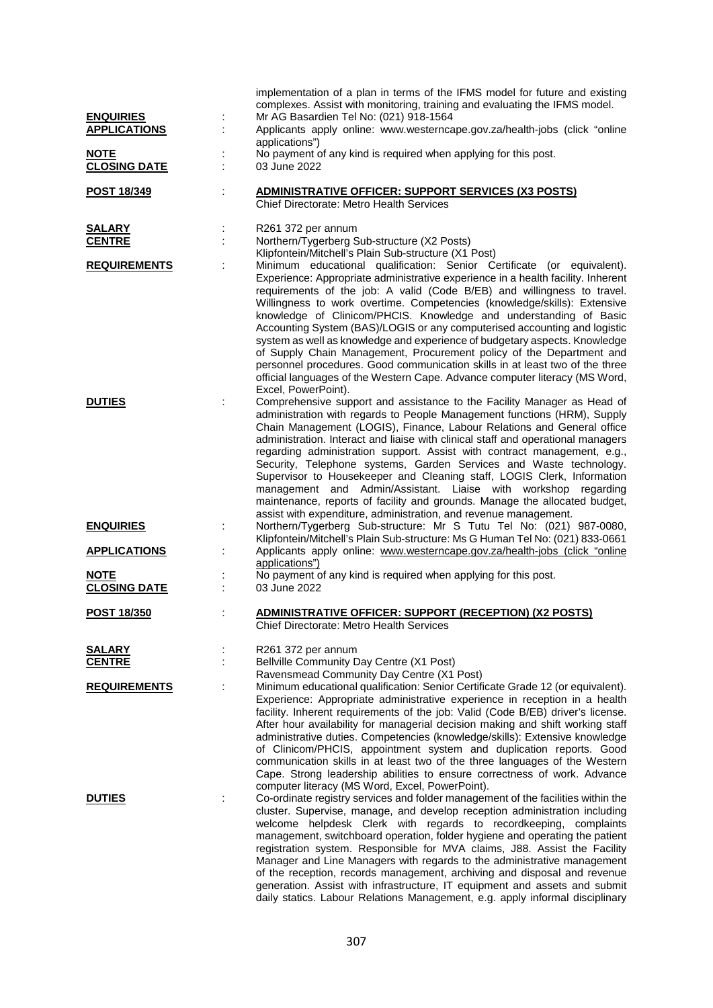| <b>ENQUIRIES</b>                   |   | implementation of a plan in terms of the IFMS model for future and existing<br>complexes. Assist with monitoring, training and evaluating the IFMS model.<br>Mr AG Basardien Tel No: (021) 918-1564                                                                                                                                                                                                                                                                                                                                                                                                                                                                                                                                                                                                             |
|------------------------------------|---|-----------------------------------------------------------------------------------------------------------------------------------------------------------------------------------------------------------------------------------------------------------------------------------------------------------------------------------------------------------------------------------------------------------------------------------------------------------------------------------------------------------------------------------------------------------------------------------------------------------------------------------------------------------------------------------------------------------------------------------------------------------------------------------------------------------------|
| <b>APPLICATIONS</b>                |   | Applicants apply online: www.westerncape.gov.za/health-jobs (click "online<br>applications")                                                                                                                                                                                                                                                                                                                                                                                                                                                                                                                                                                                                                                                                                                                    |
| <b>NOTE</b><br><b>CLOSING DATE</b> |   | No payment of any kind is required when applying for this post.<br>03 June 2022                                                                                                                                                                                                                                                                                                                                                                                                                                                                                                                                                                                                                                                                                                                                 |
| <u>POST 18/349</u>                 |   | <b>ADMINISTRATIVE OFFICER: SUPPORT SERVICES (X3 POSTS)</b><br><b>Chief Directorate: Metro Health Services</b>                                                                                                                                                                                                                                                                                                                                                                                                                                                                                                                                                                                                                                                                                                   |
| <b>SALARY</b><br><b>CENTRE</b>     |   | R261 372 per annum<br>Northern/Tygerberg Sub-structure (X2 Posts)<br>Klipfontein/Mitchell's Plain Sub-structure (X1 Post)                                                                                                                                                                                                                                                                                                                                                                                                                                                                                                                                                                                                                                                                                       |
| <b>REQUIREMENTS</b>                |   | Minimum educational qualification: Senior Certificate (or equivalent).<br>Experience: Appropriate administrative experience in a health facility. Inherent<br>requirements of the job: A valid (Code B/EB) and willingness to travel.<br>Willingness to work overtime. Competencies (knowledge/skills): Extensive<br>knowledge of Clinicom/PHCIS. Knowledge and understanding of Basic<br>Accounting System (BAS)/LOGIS or any computerised accounting and logistic<br>system as well as knowledge and experience of budgetary aspects. Knowledge<br>of Supply Chain Management, Procurement policy of the Department and<br>personnel procedures. Good communication skills in at least two of the three<br>official languages of the Western Cape. Advance computer literacy (MS Word,<br>Excel, PowerPoint). |
| <b>DUTIES</b>                      | ÷ | Comprehensive support and assistance to the Facility Manager as Head of<br>administration with regards to People Management functions (HRM), Supply<br>Chain Management (LOGIS), Finance, Labour Relations and General office<br>administration. Interact and liaise with clinical staff and operational managers<br>regarding administration support. Assist with contract management, e.g.,<br>Security, Telephone systems, Garden Services and Waste technology.<br>Supervisor to Housekeeper and Cleaning staff, LOGIS Clerk, Information<br>management and Admin/Assistant. Liaise with workshop regarding<br>maintenance, reports of facility and grounds. Manage the allocated budget,<br>assist with expenditure, administration, and revenue management.                                               |
| <b>ENQUIRIES</b>                   | ÷ | Northern/Tygerberg Sub-structure: Mr S Tutu Tel No: (021) 987-0080,<br>Klipfontein/Mitchell's Plain Sub-structure: Ms G Human Tel No: (021) 833-0661                                                                                                                                                                                                                                                                                                                                                                                                                                                                                                                                                                                                                                                            |
| <b>APPLICATIONS</b>                |   | Applicants apply online: www.westerncape.gov.za/health-jobs (click "online<br>applications")                                                                                                                                                                                                                                                                                                                                                                                                                                                                                                                                                                                                                                                                                                                    |
| <b>NOTE</b><br><b>CLOSING DATE</b> |   | No payment of any kind is required when applying for this post.<br>03 June 2022                                                                                                                                                                                                                                                                                                                                                                                                                                                                                                                                                                                                                                                                                                                                 |
| <b>POST 18/350</b>                 | ÷ | <b>ADMINISTRATIVE OFFICER: SUPPORT (RECEPTION) (X2 POSTS)</b><br><b>Chief Directorate: Metro Health Services</b>                                                                                                                                                                                                                                                                                                                                                                                                                                                                                                                                                                                                                                                                                                |
| <b>SALARY</b><br><b>CENTRE</b>     |   | R261 372 per annum<br>Bellville Community Day Centre (X1 Post)<br>Ravensmead Community Day Centre (X1 Post)                                                                                                                                                                                                                                                                                                                                                                                                                                                                                                                                                                                                                                                                                                     |
| <b>REQUIREMENTS</b>                |   | Minimum educational qualification: Senior Certificate Grade 12 (or equivalent).<br>Experience: Appropriate administrative experience in reception in a health<br>facility. Inherent requirements of the job: Valid (Code B/EB) driver's license.<br>After hour availability for managerial decision making and shift working staff<br>administrative duties. Competencies (knowledge/skills): Extensive knowledge<br>of Clinicom/PHCIS, appointment system and duplication reports. Good<br>communication skills in at least two of the three languages of the Western<br>Cape. Strong leadership abilities to ensure correctness of work. Advance                                                                                                                                                              |
| <b>DUTIES</b>                      | ÷ | computer literacy (MS Word, Excel, PowerPoint).<br>Co-ordinate registry services and folder management of the facilities within the<br>cluster. Supervise, manage, and develop reception administration including<br>welcome helpdesk Clerk with regards to recordkeeping, complaints<br>management, switchboard operation, folder hygiene and operating the patient<br>registration system. Responsible for MVA claims, J88. Assist the Facility<br>Manager and Line Managers with regards to the administrative management<br>of the reception, records management, archiving and disposal and revenue<br>generation. Assist with infrastructure, IT equipment and assets and submit<br>daily statics. Labour Relations Management, e.g. apply informal disciplinary                                          |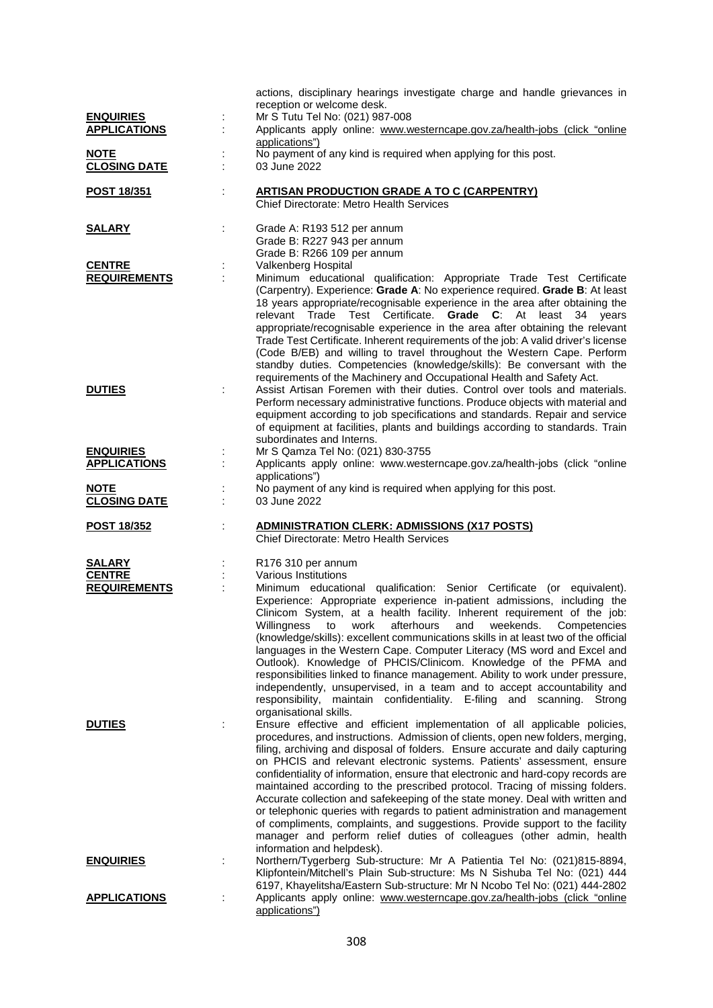| <b>ENQUIRIES</b>                                      | actions, disciplinary hearings investigate charge and handle grievances in<br>reception or welcome desk.<br>Mr S Tutu Tel No: (021) 987-008                                                                                                                                                                                                                                                                                                                                                                                                                                                                                                                                                                                                                                                                                   |
|-------------------------------------------------------|-------------------------------------------------------------------------------------------------------------------------------------------------------------------------------------------------------------------------------------------------------------------------------------------------------------------------------------------------------------------------------------------------------------------------------------------------------------------------------------------------------------------------------------------------------------------------------------------------------------------------------------------------------------------------------------------------------------------------------------------------------------------------------------------------------------------------------|
| <b>APPLICATIONS</b>                                   | Applicants apply online: www.westerncape.gov.za/health-jobs (click "online<br>applications")                                                                                                                                                                                                                                                                                                                                                                                                                                                                                                                                                                                                                                                                                                                                  |
| <b>NOTE</b><br><b>CLOSING DATE</b>                    | No payment of any kind is required when applying for this post.<br>03 June 2022                                                                                                                                                                                                                                                                                                                                                                                                                                                                                                                                                                                                                                                                                                                                               |
| <u>POST 18/351</u>                                    | <b>ARTISAN PRODUCTION GRADE A TO C (CARPENTRY)</b><br><b>Chief Directorate: Metro Health Services</b>                                                                                                                                                                                                                                                                                                                                                                                                                                                                                                                                                                                                                                                                                                                         |
| <u>SALARY</u>                                         | Grade A: R193 512 per annum<br>Grade B: R227 943 per annum<br>Grade B: R266 109 per annum                                                                                                                                                                                                                                                                                                                                                                                                                                                                                                                                                                                                                                                                                                                                     |
| <b>CENTRE</b><br><b>REQUIREMENTS</b>                  | Valkenberg Hospital<br>Minimum educational qualification: Appropriate Trade Test Certificate<br>(Carpentry). Experience: Grade A: No experience required. Grade B: At least<br>18 years appropriate/recognisable experience in the area after obtaining the<br>relevant<br>Trade Test Certificate.<br><b>Grade C:</b> At least<br>34 years<br>appropriate/recognisable experience in the area after obtaining the relevant<br>Trade Test Certificate. Inherent requirements of the job: A valid driver's license<br>(Code B/EB) and willing to travel throughout the Western Cape. Perform<br>standby duties. Competencies (knowledge/skills): Be conversant with the<br>requirements of the Machinery and Occupational Health and Safety Act.                                                                                |
| <b>DUTIES</b>                                         | Assist Artisan Foremen with their duties. Control over tools and materials.<br>Perform necessary administrative functions. Produce objects with material and<br>equipment according to job specifications and standards. Repair and service<br>of equipment at facilities, plants and buildings according to standards. Train<br>subordinates and Interns.                                                                                                                                                                                                                                                                                                                                                                                                                                                                    |
| <b>ENQUIRIES</b><br><b>APPLICATIONS</b>               | Mr S Qamza Tel No: (021) 830-3755<br>Applicants apply online: www.westerncape.gov.za/health-jobs (click "online<br>applications")                                                                                                                                                                                                                                                                                                                                                                                                                                                                                                                                                                                                                                                                                             |
| <b>NOTE</b>                                           | No payment of any kind is required when applying for this post.                                                                                                                                                                                                                                                                                                                                                                                                                                                                                                                                                                                                                                                                                                                                                               |
| <b>CLOSING DATE</b>                                   | 03 June 2022                                                                                                                                                                                                                                                                                                                                                                                                                                                                                                                                                                                                                                                                                                                                                                                                                  |
| <u>POST 18/352</u>                                    | <b>ADMINISTRATION CLERK: ADMISSIONS (X17 POSTS)</b><br><b>Chief Directorate: Metro Health Services</b>                                                                                                                                                                                                                                                                                                                                                                                                                                                                                                                                                                                                                                                                                                                        |
| <b>SALARY</b><br><b>CENTRE</b><br><b>REQUIREMENTS</b> | R176 310 per annum<br>Various Institutions<br>Minimum educational qualification: Senior Certificate (or equivalent).<br>Experience: Appropriate experience in-patient admissions, including the                                                                                                                                                                                                                                                                                                                                                                                                                                                                                                                                                                                                                               |
| <b>DUTIES</b>                                         | Clinicom System, at a health facility. Inherent requirement of the job:<br>Willingness<br>to<br>work<br>afterhours<br>and<br>weekends.<br>Competencies<br>(knowledge/skills): excellent communications skills in at least two of the official<br>languages in the Western Cape. Computer Literacy (MS word and Excel and<br>Outlook). Knowledge of PHCIS/Clinicom. Knowledge of the PFMA and<br>responsibilities linked to finance management. Ability to work under pressure,<br>independently, unsupervised, in a team and to accept accountability and<br>responsibility, maintain confidentiality. E-filing and scanning. Strong<br>organisational skills.<br>Ensure effective and efficient implementation of all applicable policies,<br>procedures, and instructions. Admission of clients, open new folders, merging, |
|                                                       | filing, archiving and disposal of folders. Ensure accurate and daily capturing<br>on PHCIS and relevant electronic systems. Patients' assessment, ensure<br>confidentiality of information, ensure that electronic and hard-copy records are<br>maintained according to the prescribed protocol. Tracing of missing folders.<br>Accurate collection and safekeeping of the state money. Deal with written and<br>or telephonic queries with regards to patient administration and management<br>of compliments, complaints, and suggestions. Provide support to the facility<br>manager and perform relief duties of colleagues (other admin, health                                                                                                                                                                          |
| <b>ENQUIRIES</b>                                      | information and helpdesk).<br>Northern/Tygerberg Sub-structure: Mr A Patientia Tel No: (021)815-8894,<br>Klipfontein/Mitchell's Plain Sub-structure: Ms N Sishuba Tel No: (021) 444<br>6197, Khayelitsha/Eastern Sub-structure: Mr N Ncobo Tel No: (021) 444-2802                                                                                                                                                                                                                                                                                                                                                                                                                                                                                                                                                             |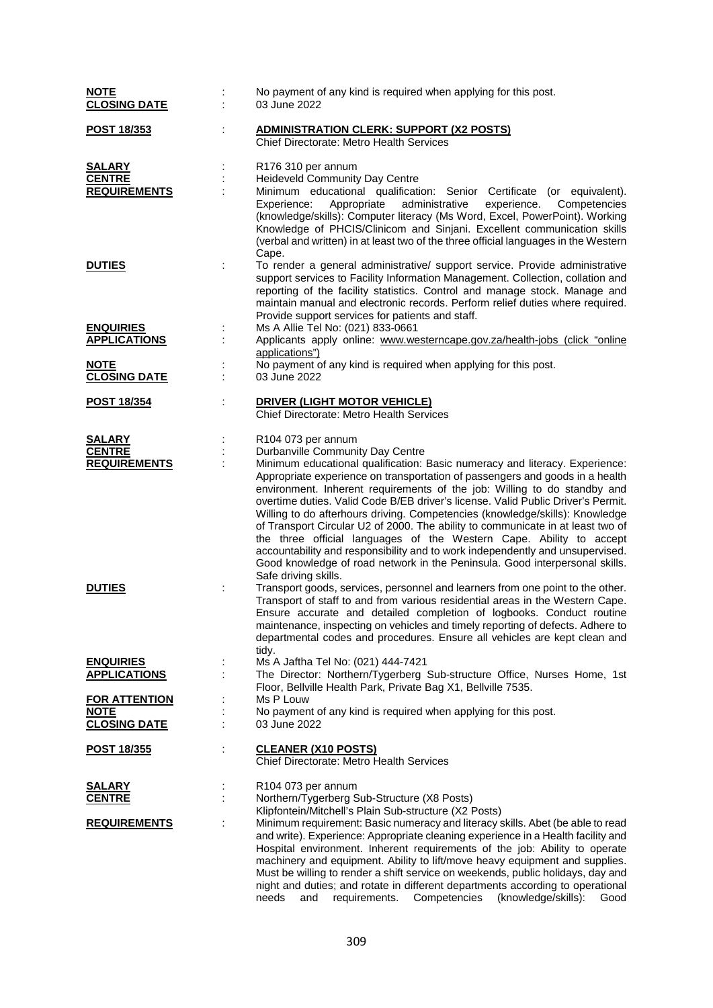| <b>NOTE</b><br><b>CLOSING DATE</b>                    | No payment of any kind is required when applying for this post.<br>03 June 2022                                                                                                                                                                                                                                                                                                                                                                                                                                                                                                                                                                                                                                                                                                                                         |
|-------------------------------------------------------|-------------------------------------------------------------------------------------------------------------------------------------------------------------------------------------------------------------------------------------------------------------------------------------------------------------------------------------------------------------------------------------------------------------------------------------------------------------------------------------------------------------------------------------------------------------------------------------------------------------------------------------------------------------------------------------------------------------------------------------------------------------------------------------------------------------------------|
| POST 18/353                                           | <b>ADMINISTRATION CLERK: SUPPORT (X2 POSTS)</b><br><b>Chief Directorate: Metro Health Services</b>                                                                                                                                                                                                                                                                                                                                                                                                                                                                                                                                                                                                                                                                                                                      |
| <u>SALARY</u><br><b>CENTRE</b><br><b>REQUIREMENTS</b> | R176 310 per annum<br>Heideveld Community Day Centre<br>Minimum educational qualification: Senior Certificate (or equivalent).<br>Experience:<br>Appropriate<br>administrative<br>experience.<br>Competencies<br>(knowledge/skills): Computer literacy (Ms Word, Excel, PowerPoint). Working<br>Knowledge of PHCIS/Clinicom and Sinjani. Excellent communication skills<br>(verbal and written) in at least two of the three official languages in the Western<br>Cape.                                                                                                                                                                                                                                                                                                                                                 |
| <b>DUTIES</b>                                         | To render a general administrative/ support service. Provide administrative<br>support services to Facility Information Management. Collection, collation and<br>reporting of the facility statistics. Control and manage stock. Manage and<br>maintain manual and electronic records. Perform relief duties where required.<br>Provide support services for patients and staff.                                                                                                                                                                                                                                                                                                                                                                                                                                        |
| <b>ENQUIRIES</b><br><b>APPLICATIONS</b>               | Ms A Allie Tel No: (021) 833-0661<br>Applicants apply online: www.westerncape.gov.za/health-jobs (click "online<br>applications")                                                                                                                                                                                                                                                                                                                                                                                                                                                                                                                                                                                                                                                                                       |
| <b>NOTE</b><br><b>CLOSING DATE</b>                    | No payment of any kind is required when applying for this post.<br>03 June 2022                                                                                                                                                                                                                                                                                                                                                                                                                                                                                                                                                                                                                                                                                                                                         |
| <b>POST 18/354</b>                                    | <b>DRIVER (LIGHT MOTOR VEHICLE)</b><br><b>Chief Directorate: Metro Health Services</b>                                                                                                                                                                                                                                                                                                                                                                                                                                                                                                                                                                                                                                                                                                                                  |
| <u>SALARY</u><br><b>CENTRE</b><br><b>REQUIREMENTS</b> | R104 073 per annum<br>Durbanville Community Day Centre<br>Minimum educational qualification: Basic numeracy and literacy. Experience:<br>Appropriate experience on transportation of passengers and goods in a health<br>environment. Inherent requirements of the job: Willing to do standby and<br>overtime duties. Valid Code B/EB driver's license. Valid Public Driver's Permit.<br>Willing to do afterhours driving. Competencies (knowledge/skills): Knowledge<br>of Transport Circular U2 of 2000. The ability to communicate in at least two of<br>the three official languages of the Western Cape. Ability to accept<br>accountability and responsibility and to work independently and unsupervised.<br>Good knowledge of road network in the Peninsula. Good interpersonal skills.<br>Safe driving skills. |
| <b>DUTIES</b>                                         | Transport goods, services, personnel and learners from one point to the other.<br>Transport of staff to and from various residential areas in the Western Cape.<br>Ensure accurate and detailed completion of logbooks. Conduct routine<br>maintenance, inspecting on vehicles and timely reporting of defects. Adhere to<br>departmental codes and procedures. Ensure all vehicles are kept clean and<br>tidy.                                                                                                                                                                                                                                                                                                                                                                                                         |
| <b>ENQUIRIES</b><br><b>APPLICATIONS</b>               | Ms A Jaftha Tel No: (021) 444-7421<br>The Director: Northern/Tygerberg Sub-structure Office, Nurses Home, 1st<br>Floor, Bellville Health Park, Private Bag X1, Bellville 7535.                                                                                                                                                                                                                                                                                                                                                                                                                                                                                                                                                                                                                                          |
| <b>FOR ATTENTION</b><br><b>NOTE</b>                   | Ms P Louw<br>No payment of any kind is required when applying for this post.                                                                                                                                                                                                                                                                                                                                                                                                                                                                                                                                                                                                                                                                                                                                            |
| <b>CLOSING DATE</b>                                   | 03 June 2022                                                                                                                                                                                                                                                                                                                                                                                                                                                                                                                                                                                                                                                                                                                                                                                                            |
| <u>POST 18/355</u>                                    | <u>CLEANER (X10 POSTS)</u><br>Chief Directorate: Metro Health Services                                                                                                                                                                                                                                                                                                                                                                                                                                                                                                                                                                                                                                                                                                                                                  |
| <u>SALARY</u><br><b>CENTRE</b>                        | R104 073 per annum<br>÷<br>Northern/Tygerberg Sub-Structure (X8 Posts)<br>Klipfontein/Mitchell's Plain Sub-structure (X2 Posts)                                                                                                                                                                                                                                                                                                                                                                                                                                                                                                                                                                                                                                                                                         |
| <b>REQUIREMENTS</b>                                   | Minimum requirement: Basic numeracy and literacy skills. Abet (be able to read<br>and write). Experience: Appropriate cleaning experience in a Health facility and<br>Hospital environment. Inherent requirements of the job: Ability to operate<br>machinery and equipment. Ability to lift/move heavy equipment and supplies.<br>Must be willing to render a shift service on weekends, public holidays, day and<br>night and duties; and rotate in different departments according to operational<br>needs<br>requirements.<br>Competencies<br>(knowledge/skills):<br>and<br>Good                                                                                                                                                                                                                                    |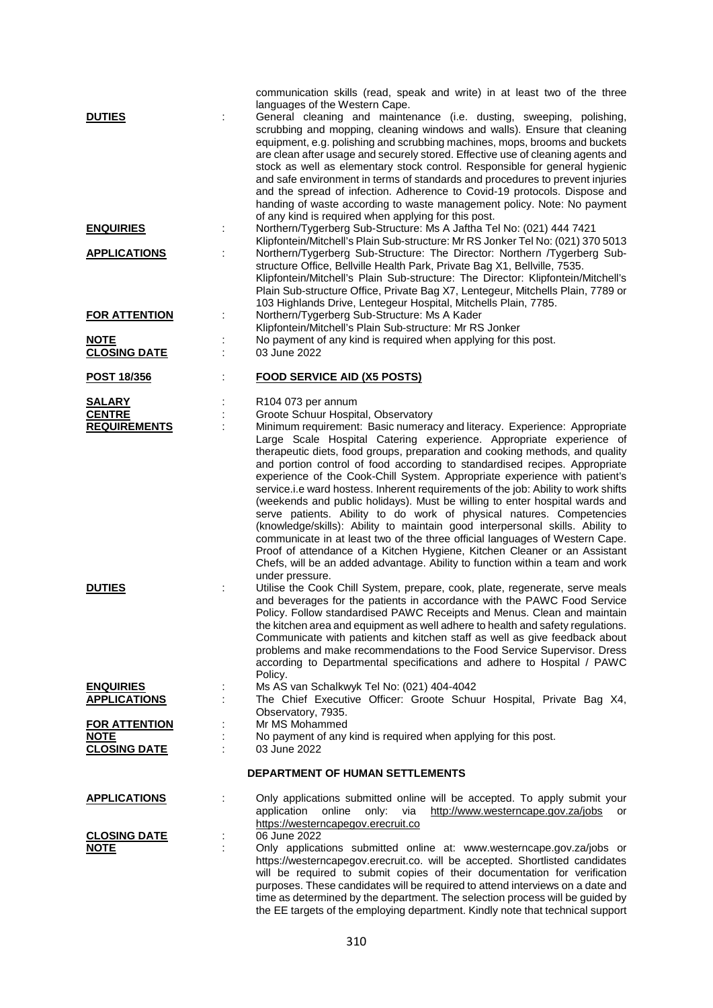|                                                                        |   | communication skills (read, speak and write) in at least two of the three                                                                                                                                                                                                                                                                                                                                                                                                                                                                                                                                                                                                                                                                                                                                                                                                                                                                                                                                                                                                                                                                                                                                                                                                                                                                                                                                                                                                                                                                                                                                                        |
|------------------------------------------------------------------------|---|----------------------------------------------------------------------------------------------------------------------------------------------------------------------------------------------------------------------------------------------------------------------------------------------------------------------------------------------------------------------------------------------------------------------------------------------------------------------------------------------------------------------------------------------------------------------------------------------------------------------------------------------------------------------------------------------------------------------------------------------------------------------------------------------------------------------------------------------------------------------------------------------------------------------------------------------------------------------------------------------------------------------------------------------------------------------------------------------------------------------------------------------------------------------------------------------------------------------------------------------------------------------------------------------------------------------------------------------------------------------------------------------------------------------------------------------------------------------------------------------------------------------------------------------------------------------------------------------------------------------------------|
| <b>DUTIES</b>                                                          |   | languages of the Western Cape.<br>General cleaning and maintenance (i.e. dusting, sweeping, polishing,<br>scrubbing and mopping, cleaning windows and walls). Ensure that cleaning<br>equipment, e.g. polishing and scrubbing machines, mops, brooms and buckets<br>are clean after usage and securely stored. Effective use of cleaning agents and<br>stock as well as elementary stock control. Responsible for general hygienic<br>and safe environment in terms of standards and procedures to prevent injuries<br>and the spread of infection. Adherence to Covid-19 protocols. Dispose and<br>handing of waste according to waste management policy. Note: No payment<br>of any kind is required when applying for this post.                                                                                                                                                                                                                                                                                                                                                                                                                                                                                                                                                                                                                                                                                                                                                                                                                                                                                              |
| <b>ENQUIRIES</b>                                                       | ÷ | Northern/Tygerberg Sub-Structure: Ms A Jaftha Tel No: (021) 444 7421<br>Klipfontein/Mitchell's Plain Sub-structure: Mr RS Jonker Tel No: (021) 370 5013                                                                                                                                                                                                                                                                                                                                                                                                                                                                                                                                                                                                                                                                                                                                                                                                                                                                                                                                                                                                                                                                                                                                                                                                                                                                                                                                                                                                                                                                          |
| <b>APPLICATIONS</b>                                                    | ÷ | Northern/Tygerberg Sub-Structure: The Director: Northern /Tygerberg Sub-<br>structure Office, Bellville Health Park, Private Bag X1, Bellville, 7535.<br>Klipfontein/Mitchell's Plain Sub-structure: The Director: Klipfontein/Mitchell's<br>Plain Sub-structure Office, Private Bag X7, Lentegeur, Mitchells Plain, 7789 or                                                                                                                                                                                                                                                                                                                                                                                                                                                                                                                                                                                                                                                                                                                                                                                                                                                                                                                                                                                                                                                                                                                                                                                                                                                                                                     |
| <b>FOR ATTENTION</b>                                                   |   | 103 Highlands Drive, Lentegeur Hospital, Mitchells Plain, 7785.<br>Northern/Tygerberg Sub-Structure: Ms A Kader<br>Klipfontein/Mitchell's Plain Sub-structure: Mr RS Jonker                                                                                                                                                                                                                                                                                                                                                                                                                                                                                                                                                                                                                                                                                                                                                                                                                                                                                                                                                                                                                                                                                                                                                                                                                                                                                                                                                                                                                                                      |
| <b>NOTE</b><br><b>CLOSING DATE</b>                                     |   | No payment of any kind is required when applying for this post.<br>03 June 2022                                                                                                                                                                                                                                                                                                                                                                                                                                                                                                                                                                                                                                                                                                                                                                                                                                                                                                                                                                                                                                                                                                                                                                                                                                                                                                                                                                                                                                                                                                                                                  |
| <u>POST 18/356</u>                                                     |   | <b>FOOD SERVICE AID (X5 POSTS)</b>                                                                                                                                                                                                                                                                                                                                                                                                                                                                                                                                                                                                                                                                                                                                                                                                                                                                                                                                                                                                                                                                                                                                                                                                                                                                                                                                                                                                                                                                                                                                                                                               |
| <b>SALARY</b><br><b>CENTRE</b><br><b>REQUIREMENTS</b><br><b>DUTIES</b> | ÷ | R <sub>104</sub> 073 per annum<br>Groote Schuur Hospital, Observatory<br>Minimum requirement: Basic numeracy and literacy. Experience: Appropriate<br>Large Scale Hospital Catering experience. Appropriate experience of<br>therapeutic diets, food groups, preparation and cooking methods, and quality<br>and portion control of food according to standardised recipes. Appropriate<br>experience of the Cook-Chill System. Appropriate experience with patient's<br>service.i.e ward hostess. Inherent requirements of the job: Ability to work shifts<br>(weekends and public holidays). Must be willing to enter hospital wards and<br>serve patients. Ability to do work of physical natures. Competencies<br>(knowledge/skills): Ability to maintain good interpersonal skills. Ability to<br>communicate in at least two of the three official languages of Western Cape.<br>Proof of attendance of a Kitchen Hygiene, Kitchen Cleaner or an Assistant<br>Chefs, will be an added advantage. Ability to function within a team and work<br>under pressure.<br>Utilise the Cook Chill System, prepare, cook, plate, regenerate, serve meals<br>and beverages for the patients in accordance with the PAWC Food Service<br>Policy. Follow standardised PAWC Receipts and Menus. Clean and maintain<br>the kitchen area and equipment as well adhere to health and safety regulations.<br>Communicate with patients and kitchen staff as well as give feedback about<br>problems and make recommendations to the Food Service Supervisor. Dress<br>according to Departmental specifications and adhere to Hospital / PAWC |
| <b>ENQUIRIES</b><br><b>APPLICATIONS</b>                                |   | Policy.<br>Ms AS van Schalkwyk Tel No: (021) 404-4042<br>The Chief Executive Officer: Groote Schuur Hospital, Private Bag X4,<br>Observatory, 7935.                                                                                                                                                                                                                                                                                                                                                                                                                                                                                                                                                                                                                                                                                                                                                                                                                                                                                                                                                                                                                                                                                                                                                                                                                                                                                                                                                                                                                                                                              |
| <b>FOR ATTENTION</b><br><b>NOTE</b>                                    |   | Mr MS Mohammed<br>No payment of any kind is required when applying for this post.                                                                                                                                                                                                                                                                                                                                                                                                                                                                                                                                                                                                                                                                                                                                                                                                                                                                                                                                                                                                                                                                                                                                                                                                                                                                                                                                                                                                                                                                                                                                                |
| <b>CLOSING DATE</b>                                                    |   | 03 June 2022                                                                                                                                                                                                                                                                                                                                                                                                                                                                                                                                                                                                                                                                                                                                                                                                                                                                                                                                                                                                                                                                                                                                                                                                                                                                                                                                                                                                                                                                                                                                                                                                                     |
|                                                                        |   | <b>DEPARTMENT OF HUMAN SETTLEMENTS</b>                                                                                                                                                                                                                                                                                                                                                                                                                                                                                                                                                                                                                                                                                                                                                                                                                                                                                                                                                                                                                                                                                                                                                                                                                                                                                                                                                                                                                                                                                                                                                                                           |
| <b>APPLICATIONS</b>                                                    |   | Only applications submitted online will be accepted. To apply submit your<br>application<br>online<br>only:<br>via<br>http://www.westerncape.gov.za/jobs or<br>https://westerncapegov.erecruit.co                                                                                                                                                                                                                                                                                                                                                                                                                                                                                                                                                                                                                                                                                                                                                                                                                                                                                                                                                                                                                                                                                                                                                                                                                                                                                                                                                                                                                                |
| <b>CLOSING DATE</b>                                                    | ÷ | 06 June 2022                                                                                                                                                                                                                                                                                                                                                                                                                                                                                                                                                                                                                                                                                                                                                                                                                                                                                                                                                                                                                                                                                                                                                                                                                                                                                                                                                                                                                                                                                                                                                                                                                     |
| <b>NOTE</b>                                                            |   | Only applications submitted online at: www.westerncape.gov.za/jobs or<br>https://westerncapegov.erecruit.co. will be accepted. Shortlisted candidates<br>will be required to submit copies of their documentation for verification<br>purposes. These candidates will be required to attend interviews on a date and<br>time as determined by the department. The selection process will be guided by<br>the EE targets of the employing department. Kindly note that technical support                                                                                                                                                                                                                                                                                                                                                                                                                                                                                                                                                                                                                                                                                                                                                                                                                                                                                                                                                                                                                                                                                                                                          |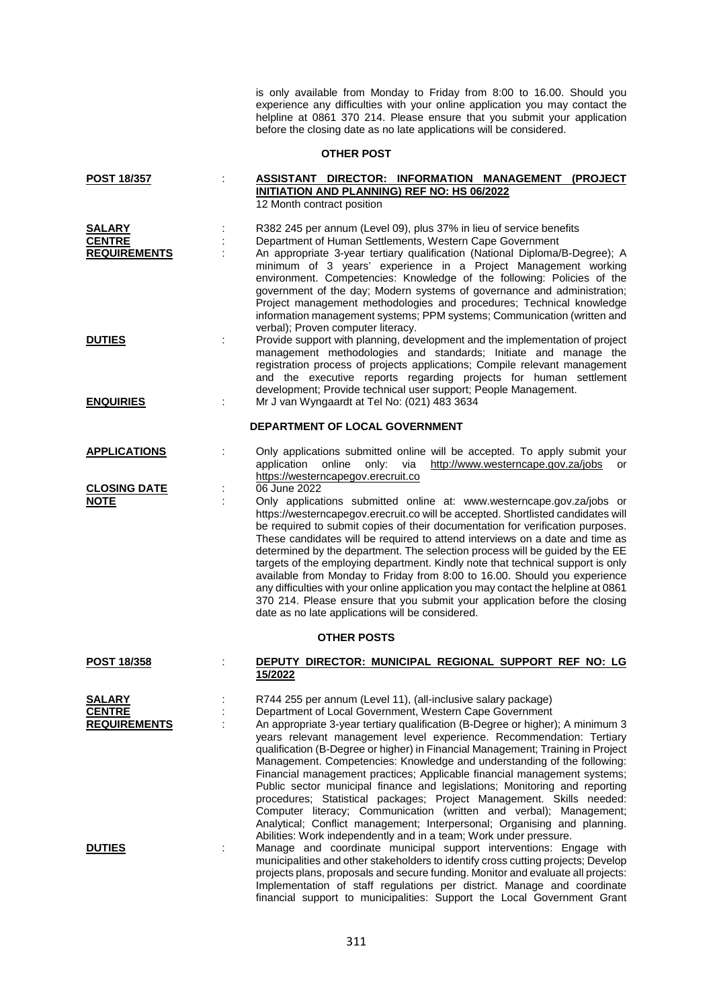is only available from Monday to Friday from 8:00 to 16.00. Should you experience any difficulties with your online application you may contact the helpline at 0861 370 214. Please ensure that you submit your application before the closing date as no late applications will be considered.

## **OTHER POST**

| 12 Month contract position<br>R382 245 per annum (Level 09), plus 37% in lieu of service benefits<br>Department of Human Settlements, Western Cape Government<br>An appropriate 3-year tertiary qualification (National Diploma/B-Degree); A<br>minimum of 3 years' experience in a Project Management working<br>environment. Competencies: Knowledge of the following: Policies of the<br>government of the day; Modern systems of governance and administration;<br>Project management methodologies and procedures; Technical knowledge<br>information management systems; PPM systems; Communication (written and<br>verbal); Proven computer literacy.<br>Provide support with planning, development and the implementation of project<br>management methodologies and standards; Initiate and manage the<br>registration process of projects applications; Compile relevant management<br>and the executive reports regarding projects for human settlement<br>development; Provide technical user support; People Management.<br>Mr J van Wyngaardt at Tel No: (021) 483 3634<br>DEPARTMENT OF LOCAL GOVERNMENT<br>Only applications submitted online will be accepted. To apply submit your<br>application online<br>only: via<br>http://www.westerncape.gov.za/jobs<br>or<br>https://westerncapegov.erecruit.co<br>06 June 2022<br>Only applications submitted online at: www.westerncape.gov.za/jobs or<br>https://westerncapegov.erecruit.co will be accepted. Shortlisted candidates will<br>be required to submit copies of their documentation for verification purposes.<br>These candidates will be required to attend interviews on a date and time as<br>determined by the department. The selection process will be guided by the EE<br>targets of the employing department. Kindly note that technical support is only<br>available from Monday to Friday from 8:00 to 16.00. Should you experience<br>any difficulties with your online application you may contact the helpline at 0861<br>370 214. Please ensure that you submit your application before the closing<br>date as no late applications will be considered.<br><b>OTHER POSTS</b><br>DEPUTY DIRECTOR: MUNICIPAL REGIONAL SUPPORT REF NO: LG<br>15/2022<br>R744 255 per annum (Level 11), (all-inclusive salary package)<br>SALARY<br>Department of Local Government, Western Cape Government<br><b>CENIRE</b><br>An appropriate 3-year tertiary qualification (B-Degree or higher); A minimum 3<br>years relevant management level experience. Recommendation: Tertiary<br>qualification (B-Degree or higher) in Financial Management; Training in Project<br>Management. Competencies: Knowledge and understanding of the following:<br>Financial management practices; Applicable financial management systems;<br>Public sector municipal finance and legislations; Monitoring and reporting<br>procedures; Statistical packages; Project Management. Skills needed:<br>Computer literacy; Communication (written and verbal); Management;<br>Analytical; Conflict management; Interpersonal; Organising and planning.<br>Abilities: Work independently and in a team; Work under pressure.<br>Manage and coordinate municipal support interventions: Engage with<br>municipalities and other stakeholders to identify cross cutting projects; Develop | <b>SALARY</b><br><b>CENTRE</b><br><b>REQUIREMENTS</b><br><b>DUTIES</b><br><b>ENQUIRIES</b><br><b>APPLICATIONS</b><br><b>CLOSING DATE</b><br><b>NOTE</b><br><b>POST 18/358</b><br><b>REQUIREMENTS</b><br><b>DUTIES</b><br>projects plans, proposals and secure funding. Monitor and evaluate all projects: | <b>POST 18/357</b> | ASSISTANT DIRECTOR: INFORMATION MANAGEMENT (PROJECT                     |
|------------------------------------------------------------------------------------------------------------------------------------------------------------------------------------------------------------------------------------------------------------------------------------------------------------------------------------------------------------------------------------------------------------------------------------------------------------------------------------------------------------------------------------------------------------------------------------------------------------------------------------------------------------------------------------------------------------------------------------------------------------------------------------------------------------------------------------------------------------------------------------------------------------------------------------------------------------------------------------------------------------------------------------------------------------------------------------------------------------------------------------------------------------------------------------------------------------------------------------------------------------------------------------------------------------------------------------------------------------------------------------------------------------------------------------------------------------------------------------------------------------------------------------------------------------------------------------------------------------------------------------------------------------------------------------------------------------------------------------------------------------------------------------------------------------------------------------------------------------------------------------------------------------------------------------------------------------------------------------------------------------------------------------------------------------------------------------------------------------------------------------------------------------------------------------------------------------------------------------------------------------------------------------------------------------------------------------------------------------------------------------------------------------------------------------------------------------------------------------------------------------------------------------------------------------------------------------------------------------------------------------------------------------------------------------------------------------------------------------------------------------------------------------------------------------------------------------------------------------------------------------------------------------------------------------------------------------------------------------------------------------------------------------------------------------------------------------------------------------------------------------------------------------------------------------------------------------------------------------------------------------------------------------------------------------------------------------------------|-----------------------------------------------------------------------------------------------------------------------------------------------------------------------------------------------------------------------------------------------------------------------------------------------------------|--------------------|-------------------------------------------------------------------------|
|                                                                                                                                                                                                                                                                                                                                                                                                                                                                                                                                                                                                                                                                                                                                                                                                                                                                                                                                                                                                                                                                                                                                                                                                                                                                                                                                                                                                                                                                                                                                                                                                                                                                                                                                                                                                                                                                                                                                                                                                                                                                                                                                                                                                                                                                                                                                                                                                                                                                                                                                                                                                                                                                                                                                                                                                                                                                                                                                                                                                                                                                                                                                                                                                                                                                                                                                                |                                                                                                                                                                                                                                                                                                           |                    | INITIATION AND PLANNING) REF NO: HS 06/2022                             |
|                                                                                                                                                                                                                                                                                                                                                                                                                                                                                                                                                                                                                                                                                                                                                                                                                                                                                                                                                                                                                                                                                                                                                                                                                                                                                                                                                                                                                                                                                                                                                                                                                                                                                                                                                                                                                                                                                                                                                                                                                                                                                                                                                                                                                                                                                                                                                                                                                                                                                                                                                                                                                                                                                                                                                                                                                                                                                                                                                                                                                                                                                                                                                                                                                                                                                                                                                |                                                                                                                                                                                                                                                                                                           |                    |                                                                         |
|                                                                                                                                                                                                                                                                                                                                                                                                                                                                                                                                                                                                                                                                                                                                                                                                                                                                                                                                                                                                                                                                                                                                                                                                                                                                                                                                                                                                                                                                                                                                                                                                                                                                                                                                                                                                                                                                                                                                                                                                                                                                                                                                                                                                                                                                                                                                                                                                                                                                                                                                                                                                                                                                                                                                                                                                                                                                                                                                                                                                                                                                                                                                                                                                                                                                                                                                                |                                                                                                                                                                                                                                                                                                           |                    |                                                                         |
|                                                                                                                                                                                                                                                                                                                                                                                                                                                                                                                                                                                                                                                                                                                                                                                                                                                                                                                                                                                                                                                                                                                                                                                                                                                                                                                                                                                                                                                                                                                                                                                                                                                                                                                                                                                                                                                                                                                                                                                                                                                                                                                                                                                                                                                                                                                                                                                                                                                                                                                                                                                                                                                                                                                                                                                                                                                                                                                                                                                                                                                                                                                                                                                                                                                                                                                                                |                                                                                                                                                                                                                                                                                                           |                    |                                                                         |
|                                                                                                                                                                                                                                                                                                                                                                                                                                                                                                                                                                                                                                                                                                                                                                                                                                                                                                                                                                                                                                                                                                                                                                                                                                                                                                                                                                                                                                                                                                                                                                                                                                                                                                                                                                                                                                                                                                                                                                                                                                                                                                                                                                                                                                                                                                                                                                                                                                                                                                                                                                                                                                                                                                                                                                                                                                                                                                                                                                                                                                                                                                                                                                                                                                                                                                                                                |                                                                                                                                                                                                                                                                                                           |                    |                                                                         |
|                                                                                                                                                                                                                                                                                                                                                                                                                                                                                                                                                                                                                                                                                                                                                                                                                                                                                                                                                                                                                                                                                                                                                                                                                                                                                                                                                                                                                                                                                                                                                                                                                                                                                                                                                                                                                                                                                                                                                                                                                                                                                                                                                                                                                                                                                                                                                                                                                                                                                                                                                                                                                                                                                                                                                                                                                                                                                                                                                                                                                                                                                                                                                                                                                                                                                                                                                |                                                                                                                                                                                                                                                                                                           |                    |                                                                         |
|                                                                                                                                                                                                                                                                                                                                                                                                                                                                                                                                                                                                                                                                                                                                                                                                                                                                                                                                                                                                                                                                                                                                                                                                                                                                                                                                                                                                                                                                                                                                                                                                                                                                                                                                                                                                                                                                                                                                                                                                                                                                                                                                                                                                                                                                                                                                                                                                                                                                                                                                                                                                                                                                                                                                                                                                                                                                                                                                                                                                                                                                                                                                                                                                                                                                                                                                                |                                                                                                                                                                                                                                                                                                           |                    |                                                                         |
|                                                                                                                                                                                                                                                                                                                                                                                                                                                                                                                                                                                                                                                                                                                                                                                                                                                                                                                                                                                                                                                                                                                                                                                                                                                                                                                                                                                                                                                                                                                                                                                                                                                                                                                                                                                                                                                                                                                                                                                                                                                                                                                                                                                                                                                                                                                                                                                                                                                                                                                                                                                                                                                                                                                                                                                                                                                                                                                                                                                                                                                                                                                                                                                                                                                                                                                                                |                                                                                                                                                                                                                                                                                                           |                    |                                                                         |
|                                                                                                                                                                                                                                                                                                                                                                                                                                                                                                                                                                                                                                                                                                                                                                                                                                                                                                                                                                                                                                                                                                                                                                                                                                                                                                                                                                                                                                                                                                                                                                                                                                                                                                                                                                                                                                                                                                                                                                                                                                                                                                                                                                                                                                                                                                                                                                                                                                                                                                                                                                                                                                                                                                                                                                                                                                                                                                                                                                                                                                                                                                                                                                                                                                                                                                                                                |                                                                                                                                                                                                                                                                                                           |                    |                                                                         |
|                                                                                                                                                                                                                                                                                                                                                                                                                                                                                                                                                                                                                                                                                                                                                                                                                                                                                                                                                                                                                                                                                                                                                                                                                                                                                                                                                                                                                                                                                                                                                                                                                                                                                                                                                                                                                                                                                                                                                                                                                                                                                                                                                                                                                                                                                                                                                                                                                                                                                                                                                                                                                                                                                                                                                                                                                                                                                                                                                                                                                                                                                                                                                                                                                                                                                                                                                |                                                                                                                                                                                                                                                                                                           |                    |                                                                         |
|                                                                                                                                                                                                                                                                                                                                                                                                                                                                                                                                                                                                                                                                                                                                                                                                                                                                                                                                                                                                                                                                                                                                                                                                                                                                                                                                                                                                                                                                                                                                                                                                                                                                                                                                                                                                                                                                                                                                                                                                                                                                                                                                                                                                                                                                                                                                                                                                                                                                                                                                                                                                                                                                                                                                                                                                                                                                                                                                                                                                                                                                                                                                                                                                                                                                                                                                                |                                                                                                                                                                                                                                                                                                           |                    |                                                                         |
|                                                                                                                                                                                                                                                                                                                                                                                                                                                                                                                                                                                                                                                                                                                                                                                                                                                                                                                                                                                                                                                                                                                                                                                                                                                                                                                                                                                                                                                                                                                                                                                                                                                                                                                                                                                                                                                                                                                                                                                                                                                                                                                                                                                                                                                                                                                                                                                                                                                                                                                                                                                                                                                                                                                                                                                                                                                                                                                                                                                                                                                                                                                                                                                                                                                                                                                                                |                                                                                                                                                                                                                                                                                                           |                    |                                                                         |
|                                                                                                                                                                                                                                                                                                                                                                                                                                                                                                                                                                                                                                                                                                                                                                                                                                                                                                                                                                                                                                                                                                                                                                                                                                                                                                                                                                                                                                                                                                                                                                                                                                                                                                                                                                                                                                                                                                                                                                                                                                                                                                                                                                                                                                                                                                                                                                                                                                                                                                                                                                                                                                                                                                                                                                                                                                                                                                                                                                                                                                                                                                                                                                                                                                                                                                                                                |                                                                                                                                                                                                                                                                                                           |                    |                                                                         |
|                                                                                                                                                                                                                                                                                                                                                                                                                                                                                                                                                                                                                                                                                                                                                                                                                                                                                                                                                                                                                                                                                                                                                                                                                                                                                                                                                                                                                                                                                                                                                                                                                                                                                                                                                                                                                                                                                                                                                                                                                                                                                                                                                                                                                                                                                                                                                                                                                                                                                                                                                                                                                                                                                                                                                                                                                                                                                                                                                                                                                                                                                                                                                                                                                                                                                                                                                |                                                                                                                                                                                                                                                                                                           |                    |                                                                         |
|                                                                                                                                                                                                                                                                                                                                                                                                                                                                                                                                                                                                                                                                                                                                                                                                                                                                                                                                                                                                                                                                                                                                                                                                                                                                                                                                                                                                                                                                                                                                                                                                                                                                                                                                                                                                                                                                                                                                                                                                                                                                                                                                                                                                                                                                                                                                                                                                                                                                                                                                                                                                                                                                                                                                                                                                                                                                                                                                                                                                                                                                                                                                                                                                                                                                                                                                                |                                                                                                                                                                                                                                                                                                           |                    |                                                                         |
|                                                                                                                                                                                                                                                                                                                                                                                                                                                                                                                                                                                                                                                                                                                                                                                                                                                                                                                                                                                                                                                                                                                                                                                                                                                                                                                                                                                                                                                                                                                                                                                                                                                                                                                                                                                                                                                                                                                                                                                                                                                                                                                                                                                                                                                                                                                                                                                                                                                                                                                                                                                                                                                                                                                                                                                                                                                                                                                                                                                                                                                                                                                                                                                                                                                                                                                                                |                                                                                                                                                                                                                                                                                                           |                    |                                                                         |
|                                                                                                                                                                                                                                                                                                                                                                                                                                                                                                                                                                                                                                                                                                                                                                                                                                                                                                                                                                                                                                                                                                                                                                                                                                                                                                                                                                                                                                                                                                                                                                                                                                                                                                                                                                                                                                                                                                                                                                                                                                                                                                                                                                                                                                                                                                                                                                                                                                                                                                                                                                                                                                                                                                                                                                                                                                                                                                                                                                                                                                                                                                                                                                                                                                                                                                                                                |                                                                                                                                                                                                                                                                                                           |                    |                                                                         |
|                                                                                                                                                                                                                                                                                                                                                                                                                                                                                                                                                                                                                                                                                                                                                                                                                                                                                                                                                                                                                                                                                                                                                                                                                                                                                                                                                                                                                                                                                                                                                                                                                                                                                                                                                                                                                                                                                                                                                                                                                                                                                                                                                                                                                                                                                                                                                                                                                                                                                                                                                                                                                                                                                                                                                                                                                                                                                                                                                                                                                                                                                                                                                                                                                                                                                                                                                |                                                                                                                                                                                                                                                                                                           |                    |                                                                         |
|                                                                                                                                                                                                                                                                                                                                                                                                                                                                                                                                                                                                                                                                                                                                                                                                                                                                                                                                                                                                                                                                                                                                                                                                                                                                                                                                                                                                                                                                                                                                                                                                                                                                                                                                                                                                                                                                                                                                                                                                                                                                                                                                                                                                                                                                                                                                                                                                                                                                                                                                                                                                                                                                                                                                                                                                                                                                                                                                                                                                                                                                                                                                                                                                                                                                                                                                                |                                                                                                                                                                                                                                                                                                           |                    |                                                                         |
|                                                                                                                                                                                                                                                                                                                                                                                                                                                                                                                                                                                                                                                                                                                                                                                                                                                                                                                                                                                                                                                                                                                                                                                                                                                                                                                                                                                                                                                                                                                                                                                                                                                                                                                                                                                                                                                                                                                                                                                                                                                                                                                                                                                                                                                                                                                                                                                                                                                                                                                                                                                                                                                                                                                                                                                                                                                                                                                                                                                                                                                                                                                                                                                                                                                                                                                                                |                                                                                                                                                                                                                                                                                                           |                    |                                                                         |
|                                                                                                                                                                                                                                                                                                                                                                                                                                                                                                                                                                                                                                                                                                                                                                                                                                                                                                                                                                                                                                                                                                                                                                                                                                                                                                                                                                                                                                                                                                                                                                                                                                                                                                                                                                                                                                                                                                                                                                                                                                                                                                                                                                                                                                                                                                                                                                                                                                                                                                                                                                                                                                                                                                                                                                                                                                                                                                                                                                                                                                                                                                                                                                                                                                                                                                                                                |                                                                                                                                                                                                                                                                                                           |                    |                                                                         |
|                                                                                                                                                                                                                                                                                                                                                                                                                                                                                                                                                                                                                                                                                                                                                                                                                                                                                                                                                                                                                                                                                                                                                                                                                                                                                                                                                                                                                                                                                                                                                                                                                                                                                                                                                                                                                                                                                                                                                                                                                                                                                                                                                                                                                                                                                                                                                                                                                                                                                                                                                                                                                                                                                                                                                                                                                                                                                                                                                                                                                                                                                                                                                                                                                                                                                                                                                |                                                                                                                                                                                                                                                                                                           |                    |                                                                         |
|                                                                                                                                                                                                                                                                                                                                                                                                                                                                                                                                                                                                                                                                                                                                                                                                                                                                                                                                                                                                                                                                                                                                                                                                                                                                                                                                                                                                                                                                                                                                                                                                                                                                                                                                                                                                                                                                                                                                                                                                                                                                                                                                                                                                                                                                                                                                                                                                                                                                                                                                                                                                                                                                                                                                                                                                                                                                                                                                                                                                                                                                                                                                                                                                                                                                                                                                                |                                                                                                                                                                                                                                                                                                           |                    |                                                                         |
|                                                                                                                                                                                                                                                                                                                                                                                                                                                                                                                                                                                                                                                                                                                                                                                                                                                                                                                                                                                                                                                                                                                                                                                                                                                                                                                                                                                                                                                                                                                                                                                                                                                                                                                                                                                                                                                                                                                                                                                                                                                                                                                                                                                                                                                                                                                                                                                                                                                                                                                                                                                                                                                                                                                                                                                                                                                                                                                                                                                                                                                                                                                                                                                                                                                                                                                                                |                                                                                                                                                                                                                                                                                                           |                    |                                                                         |
|                                                                                                                                                                                                                                                                                                                                                                                                                                                                                                                                                                                                                                                                                                                                                                                                                                                                                                                                                                                                                                                                                                                                                                                                                                                                                                                                                                                                                                                                                                                                                                                                                                                                                                                                                                                                                                                                                                                                                                                                                                                                                                                                                                                                                                                                                                                                                                                                                                                                                                                                                                                                                                                                                                                                                                                                                                                                                                                                                                                                                                                                                                                                                                                                                                                                                                                                                |                                                                                                                                                                                                                                                                                                           |                    |                                                                         |
|                                                                                                                                                                                                                                                                                                                                                                                                                                                                                                                                                                                                                                                                                                                                                                                                                                                                                                                                                                                                                                                                                                                                                                                                                                                                                                                                                                                                                                                                                                                                                                                                                                                                                                                                                                                                                                                                                                                                                                                                                                                                                                                                                                                                                                                                                                                                                                                                                                                                                                                                                                                                                                                                                                                                                                                                                                                                                                                                                                                                                                                                                                                                                                                                                                                                                                                                                |                                                                                                                                                                                                                                                                                                           |                    |                                                                         |
|                                                                                                                                                                                                                                                                                                                                                                                                                                                                                                                                                                                                                                                                                                                                                                                                                                                                                                                                                                                                                                                                                                                                                                                                                                                                                                                                                                                                                                                                                                                                                                                                                                                                                                                                                                                                                                                                                                                                                                                                                                                                                                                                                                                                                                                                                                                                                                                                                                                                                                                                                                                                                                                                                                                                                                                                                                                                                                                                                                                                                                                                                                                                                                                                                                                                                                                                                |                                                                                                                                                                                                                                                                                                           |                    |                                                                         |
|                                                                                                                                                                                                                                                                                                                                                                                                                                                                                                                                                                                                                                                                                                                                                                                                                                                                                                                                                                                                                                                                                                                                                                                                                                                                                                                                                                                                                                                                                                                                                                                                                                                                                                                                                                                                                                                                                                                                                                                                                                                                                                                                                                                                                                                                                                                                                                                                                                                                                                                                                                                                                                                                                                                                                                                                                                                                                                                                                                                                                                                                                                                                                                                                                                                                                                                                                |                                                                                                                                                                                                                                                                                                           |                    |                                                                         |
|                                                                                                                                                                                                                                                                                                                                                                                                                                                                                                                                                                                                                                                                                                                                                                                                                                                                                                                                                                                                                                                                                                                                                                                                                                                                                                                                                                                                                                                                                                                                                                                                                                                                                                                                                                                                                                                                                                                                                                                                                                                                                                                                                                                                                                                                                                                                                                                                                                                                                                                                                                                                                                                                                                                                                                                                                                                                                                                                                                                                                                                                                                                                                                                                                                                                                                                                                |                                                                                                                                                                                                                                                                                                           |                    |                                                                         |
|                                                                                                                                                                                                                                                                                                                                                                                                                                                                                                                                                                                                                                                                                                                                                                                                                                                                                                                                                                                                                                                                                                                                                                                                                                                                                                                                                                                                                                                                                                                                                                                                                                                                                                                                                                                                                                                                                                                                                                                                                                                                                                                                                                                                                                                                                                                                                                                                                                                                                                                                                                                                                                                                                                                                                                                                                                                                                                                                                                                                                                                                                                                                                                                                                                                                                                                                                |                                                                                                                                                                                                                                                                                                           |                    |                                                                         |
|                                                                                                                                                                                                                                                                                                                                                                                                                                                                                                                                                                                                                                                                                                                                                                                                                                                                                                                                                                                                                                                                                                                                                                                                                                                                                                                                                                                                                                                                                                                                                                                                                                                                                                                                                                                                                                                                                                                                                                                                                                                                                                                                                                                                                                                                                                                                                                                                                                                                                                                                                                                                                                                                                                                                                                                                                                                                                                                                                                                                                                                                                                                                                                                                                                                                                                                                                |                                                                                                                                                                                                                                                                                                           |                    |                                                                         |
|                                                                                                                                                                                                                                                                                                                                                                                                                                                                                                                                                                                                                                                                                                                                                                                                                                                                                                                                                                                                                                                                                                                                                                                                                                                                                                                                                                                                                                                                                                                                                                                                                                                                                                                                                                                                                                                                                                                                                                                                                                                                                                                                                                                                                                                                                                                                                                                                                                                                                                                                                                                                                                                                                                                                                                                                                                                                                                                                                                                                                                                                                                                                                                                                                                                                                                                                                |                                                                                                                                                                                                                                                                                                           |                    |                                                                         |
|                                                                                                                                                                                                                                                                                                                                                                                                                                                                                                                                                                                                                                                                                                                                                                                                                                                                                                                                                                                                                                                                                                                                                                                                                                                                                                                                                                                                                                                                                                                                                                                                                                                                                                                                                                                                                                                                                                                                                                                                                                                                                                                                                                                                                                                                                                                                                                                                                                                                                                                                                                                                                                                                                                                                                                                                                                                                                                                                                                                                                                                                                                                                                                                                                                                                                                                                                |                                                                                                                                                                                                                                                                                                           |                    |                                                                         |
|                                                                                                                                                                                                                                                                                                                                                                                                                                                                                                                                                                                                                                                                                                                                                                                                                                                                                                                                                                                                                                                                                                                                                                                                                                                                                                                                                                                                                                                                                                                                                                                                                                                                                                                                                                                                                                                                                                                                                                                                                                                                                                                                                                                                                                                                                                                                                                                                                                                                                                                                                                                                                                                                                                                                                                                                                                                                                                                                                                                                                                                                                                                                                                                                                                                                                                                                                |                                                                                                                                                                                                                                                                                                           |                    |                                                                         |
|                                                                                                                                                                                                                                                                                                                                                                                                                                                                                                                                                                                                                                                                                                                                                                                                                                                                                                                                                                                                                                                                                                                                                                                                                                                                                                                                                                                                                                                                                                                                                                                                                                                                                                                                                                                                                                                                                                                                                                                                                                                                                                                                                                                                                                                                                                                                                                                                                                                                                                                                                                                                                                                                                                                                                                                                                                                                                                                                                                                                                                                                                                                                                                                                                                                                                                                                                |                                                                                                                                                                                                                                                                                                           |                    |                                                                         |
|                                                                                                                                                                                                                                                                                                                                                                                                                                                                                                                                                                                                                                                                                                                                                                                                                                                                                                                                                                                                                                                                                                                                                                                                                                                                                                                                                                                                                                                                                                                                                                                                                                                                                                                                                                                                                                                                                                                                                                                                                                                                                                                                                                                                                                                                                                                                                                                                                                                                                                                                                                                                                                                                                                                                                                                                                                                                                                                                                                                                                                                                                                                                                                                                                                                                                                                                                |                                                                                                                                                                                                                                                                                                           |                    |                                                                         |
|                                                                                                                                                                                                                                                                                                                                                                                                                                                                                                                                                                                                                                                                                                                                                                                                                                                                                                                                                                                                                                                                                                                                                                                                                                                                                                                                                                                                                                                                                                                                                                                                                                                                                                                                                                                                                                                                                                                                                                                                                                                                                                                                                                                                                                                                                                                                                                                                                                                                                                                                                                                                                                                                                                                                                                                                                                                                                                                                                                                                                                                                                                                                                                                                                                                                                                                                                |                                                                                                                                                                                                                                                                                                           |                    |                                                                         |
|                                                                                                                                                                                                                                                                                                                                                                                                                                                                                                                                                                                                                                                                                                                                                                                                                                                                                                                                                                                                                                                                                                                                                                                                                                                                                                                                                                                                                                                                                                                                                                                                                                                                                                                                                                                                                                                                                                                                                                                                                                                                                                                                                                                                                                                                                                                                                                                                                                                                                                                                                                                                                                                                                                                                                                                                                                                                                                                                                                                                                                                                                                                                                                                                                                                                                                                                                |                                                                                                                                                                                                                                                                                                           |                    |                                                                         |
|                                                                                                                                                                                                                                                                                                                                                                                                                                                                                                                                                                                                                                                                                                                                                                                                                                                                                                                                                                                                                                                                                                                                                                                                                                                                                                                                                                                                                                                                                                                                                                                                                                                                                                                                                                                                                                                                                                                                                                                                                                                                                                                                                                                                                                                                                                                                                                                                                                                                                                                                                                                                                                                                                                                                                                                                                                                                                                                                                                                                                                                                                                                                                                                                                                                                                                                                                |                                                                                                                                                                                                                                                                                                           |                    |                                                                         |
|                                                                                                                                                                                                                                                                                                                                                                                                                                                                                                                                                                                                                                                                                                                                                                                                                                                                                                                                                                                                                                                                                                                                                                                                                                                                                                                                                                                                                                                                                                                                                                                                                                                                                                                                                                                                                                                                                                                                                                                                                                                                                                                                                                                                                                                                                                                                                                                                                                                                                                                                                                                                                                                                                                                                                                                                                                                                                                                                                                                                                                                                                                                                                                                                                                                                                                                                                |                                                                                                                                                                                                                                                                                                           |                    |                                                                         |
|                                                                                                                                                                                                                                                                                                                                                                                                                                                                                                                                                                                                                                                                                                                                                                                                                                                                                                                                                                                                                                                                                                                                                                                                                                                                                                                                                                                                                                                                                                                                                                                                                                                                                                                                                                                                                                                                                                                                                                                                                                                                                                                                                                                                                                                                                                                                                                                                                                                                                                                                                                                                                                                                                                                                                                                                                                                                                                                                                                                                                                                                                                                                                                                                                                                                                                                                                |                                                                                                                                                                                                                                                                                                           |                    |                                                                         |
|                                                                                                                                                                                                                                                                                                                                                                                                                                                                                                                                                                                                                                                                                                                                                                                                                                                                                                                                                                                                                                                                                                                                                                                                                                                                                                                                                                                                                                                                                                                                                                                                                                                                                                                                                                                                                                                                                                                                                                                                                                                                                                                                                                                                                                                                                                                                                                                                                                                                                                                                                                                                                                                                                                                                                                                                                                                                                                                                                                                                                                                                                                                                                                                                                                                                                                                                                |                                                                                                                                                                                                                                                                                                           |                    |                                                                         |
|                                                                                                                                                                                                                                                                                                                                                                                                                                                                                                                                                                                                                                                                                                                                                                                                                                                                                                                                                                                                                                                                                                                                                                                                                                                                                                                                                                                                                                                                                                                                                                                                                                                                                                                                                                                                                                                                                                                                                                                                                                                                                                                                                                                                                                                                                                                                                                                                                                                                                                                                                                                                                                                                                                                                                                                                                                                                                                                                                                                                                                                                                                                                                                                                                                                                                                                                                |                                                                                                                                                                                                                                                                                                           |                    |                                                                         |
|                                                                                                                                                                                                                                                                                                                                                                                                                                                                                                                                                                                                                                                                                                                                                                                                                                                                                                                                                                                                                                                                                                                                                                                                                                                                                                                                                                                                                                                                                                                                                                                                                                                                                                                                                                                                                                                                                                                                                                                                                                                                                                                                                                                                                                                                                                                                                                                                                                                                                                                                                                                                                                                                                                                                                                                                                                                                                                                                                                                                                                                                                                                                                                                                                                                                                                                                                |                                                                                                                                                                                                                                                                                                           |                    |                                                                         |
|                                                                                                                                                                                                                                                                                                                                                                                                                                                                                                                                                                                                                                                                                                                                                                                                                                                                                                                                                                                                                                                                                                                                                                                                                                                                                                                                                                                                                                                                                                                                                                                                                                                                                                                                                                                                                                                                                                                                                                                                                                                                                                                                                                                                                                                                                                                                                                                                                                                                                                                                                                                                                                                                                                                                                                                                                                                                                                                                                                                                                                                                                                                                                                                                                                                                                                                                                |                                                                                                                                                                                                                                                                                                           |                    |                                                                         |
|                                                                                                                                                                                                                                                                                                                                                                                                                                                                                                                                                                                                                                                                                                                                                                                                                                                                                                                                                                                                                                                                                                                                                                                                                                                                                                                                                                                                                                                                                                                                                                                                                                                                                                                                                                                                                                                                                                                                                                                                                                                                                                                                                                                                                                                                                                                                                                                                                                                                                                                                                                                                                                                                                                                                                                                                                                                                                                                                                                                                                                                                                                                                                                                                                                                                                                                                                |                                                                                                                                                                                                                                                                                                           |                    |                                                                         |
|                                                                                                                                                                                                                                                                                                                                                                                                                                                                                                                                                                                                                                                                                                                                                                                                                                                                                                                                                                                                                                                                                                                                                                                                                                                                                                                                                                                                                                                                                                                                                                                                                                                                                                                                                                                                                                                                                                                                                                                                                                                                                                                                                                                                                                                                                                                                                                                                                                                                                                                                                                                                                                                                                                                                                                                                                                                                                                                                                                                                                                                                                                                                                                                                                                                                                                                                                |                                                                                                                                                                                                                                                                                                           |                    |                                                                         |
|                                                                                                                                                                                                                                                                                                                                                                                                                                                                                                                                                                                                                                                                                                                                                                                                                                                                                                                                                                                                                                                                                                                                                                                                                                                                                                                                                                                                                                                                                                                                                                                                                                                                                                                                                                                                                                                                                                                                                                                                                                                                                                                                                                                                                                                                                                                                                                                                                                                                                                                                                                                                                                                                                                                                                                                                                                                                                                                                                                                                                                                                                                                                                                                                                                                                                                                                                |                                                                                                                                                                                                                                                                                                           |                    |                                                                         |
|                                                                                                                                                                                                                                                                                                                                                                                                                                                                                                                                                                                                                                                                                                                                                                                                                                                                                                                                                                                                                                                                                                                                                                                                                                                                                                                                                                                                                                                                                                                                                                                                                                                                                                                                                                                                                                                                                                                                                                                                                                                                                                                                                                                                                                                                                                                                                                                                                                                                                                                                                                                                                                                                                                                                                                                                                                                                                                                                                                                                                                                                                                                                                                                                                                                                                                                                                |                                                                                                                                                                                                                                                                                                           |                    |                                                                         |
|                                                                                                                                                                                                                                                                                                                                                                                                                                                                                                                                                                                                                                                                                                                                                                                                                                                                                                                                                                                                                                                                                                                                                                                                                                                                                                                                                                                                                                                                                                                                                                                                                                                                                                                                                                                                                                                                                                                                                                                                                                                                                                                                                                                                                                                                                                                                                                                                                                                                                                                                                                                                                                                                                                                                                                                                                                                                                                                                                                                                                                                                                                                                                                                                                                                                                                                                                |                                                                                                                                                                                                                                                                                                           |                    | Implementation of staff regulations per district. Manage and coordinate |

financial support to municipalities: Support the Local Government Grant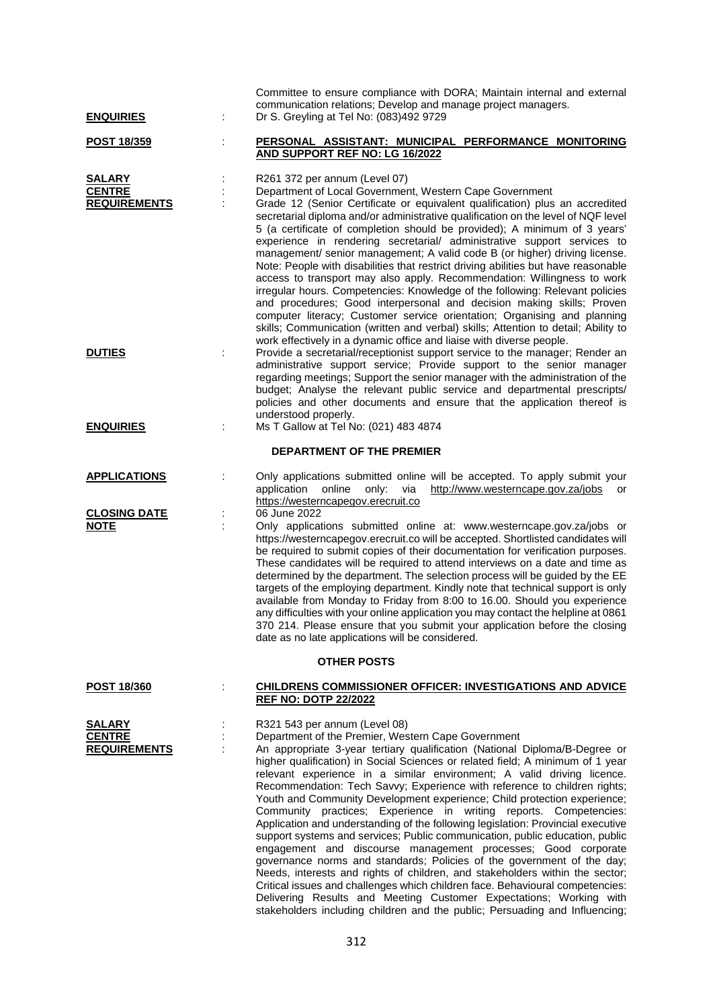| <b>ENQUIRIES</b>                                      | Committee to ensure compliance with DORA; Maintain internal and external<br>communication relations; Develop and manage project managers.<br>Dr S. Greyling at Tel No: (083)492 9729                                                                                                                                                                                                                                                                                                                                                                                                                                                                                                                                                                                                                                                                                                                                                                                                                                                                                                                              |
|-------------------------------------------------------|-------------------------------------------------------------------------------------------------------------------------------------------------------------------------------------------------------------------------------------------------------------------------------------------------------------------------------------------------------------------------------------------------------------------------------------------------------------------------------------------------------------------------------------------------------------------------------------------------------------------------------------------------------------------------------------------------------------------------------------------------------------------------------------------------------------------------------------------------------------------------------------------------------------------------------------------------------------------------------------------------------------------------------------------------------------------------------------------------------------------|
| <b>POST 18/359</b>                                    | PERSONAL ASSISTANT: MUNICIPAL PERFORMANCE MONITORING<br>AND SUPPORT REF NO: LG 16/2022                                                                                                                                                                                                                                                                                                                                                                                                                                                                                                                                                                                                                                                                                                                                                                                                                                                                                                                                                                                                                            |
| SALARY<br><b>CENTRE</b><br><b>REQUIREMENTS</b>        | R261 372 per annum (Level 07)<br>Department of Local Government, Western Cape Government<br>Grade 12 (Senior Certificate or equivalent qualification) plus an accredited<br>secretarial diploma and/or administrative qualification on the level of NQF level<br>5 (a certificate of completion should be provided); A minimum of 3 years'<br>experience in rendering secretarial/ administrative support services to<br>management/ senior management; A valid code B (or higher) driving license.<br>Note: People with disabilities that restrict driving abilities but have reasonable<br>access to transport may also apply. Recommendation: Willingness to work<br>irregular hours. Competencies: Knowledge of the following: Relevant policies<br>and procedures; Good interpersonal and decision making skills; Proven<br>computer literacy; Customer service orientation; Organising and planning<br>skills; Communication (written and verbal) skills; Attention to detail; Ability to<br>work effectively in a dynamic office and liaise with diverse people.                                           |
| <b>DUTIES</b>                                         | Provide a secretarial/receptionist support service to the manager; Render an<br>administrative support service; Provide support to the senior manager<br>regarding meetings; Support the senior manager with the administration of the<br>budget; Analyse the relevant public service and departmental prescripts/<br>policies and other documents and ensure that the application thereof is<br>understood properly.                                                                                                                                                                                                                                                                                                                                                                                                                                                                                                                                                                                                                                                                                             |
| <b>ENQUIRIES</b>                                      | Ms T Gallow at Tel No: (021) 483 4874                                                                                                                                                                                                                                                                                                                                                                                                                                                                                                                                                                                                                                                                                                                                                                                                                                                                                                                                                                                                                                                                             |
|                                                       | <b>DEPARTMENT OF THE PREMIER</b>                                                                                                                                                                                                                                                                                                                                                                                                                                                                                                                                                                                                                                                                                                                                                                                                                                                                                                                                                                                                                                                                                  |
| <b>APPLICATIONS</b>                                   | Only applications submitted online will be accepted. To apply submit your<br>application online<br>only: via<br>http://www.westerncape.gov.za/jobs or<br>https://westerncapegov.erecruit.co                                                                                                                                                                                                                                                                                                                                                                                                                                                                                                                                                                                                                                                                                                                                                                                                                                                                                                                       |
| <b>CLOSING DATE</b><br>÷<br><b>NOTE</b>               | 06 June 2022<br>Only applications submitted online at: www.westerncape.gov.za/jobs or<br>https://westerncapegov.erecruit.co will be accepted. Shortlisted candidates will<br>be required to submit copies of their documentation for verification purposes.<br>These candidates will be required to attend interviews on a date and time as<br>determined by the department. The selection process will be guided by the EE<br>targets of the employing department. Kindly note that technical support is only<br>available from Monday to Friday from 8:00 to 16.00. Should you experience<br>any difficulties with your online application you may contact the helpline at 0861<br>370 214. Please ensure that you submit your application before the closing<br>date as no late applications will be considered.                                                                                                                                                                                                                                                                                               |
|                                                       | <b>OTHER POSTS</b>                                                                                                                                                                                                                                                                                                                                                                                                                                                                                                                                                                                                                                                                                                                                                                                                                                                                                                                                                                                                                                                                                                |
| <b>POST 18/360</b>                                    | <b>CHILDRENS COMMISSIONER OFFICER: INVESTIGATIONS AND ADVICE</b><br><b>REF NO: DOTP 22/2022</b>                                                                                                                                                                                                                                                                                                                                                                                                                                                                                                                                                                                                                                                                                                                                                                                                                                                                                                                                                                                                                   |
| <b>SALARY</b><br><b>CENTRE</b><br><b>REQUIREMENTS</b> | R321 543 per annum (Level 08)<br>Department of the Premier, Western Cape Government<br>An appropriate 3-year tertiary qualification (National Diploma/B-Degree or<br>higher qualification) in Social Sciences or related field; A minimum of 1 year<br>relevant experience in a similar environment; A valid driving licence.<br>Recommendation: Tech Savvy; Experience with reference to children rights;<br>Youth and Community Development experience; Child protection experience;<br>Community practices; Experience in writing reports. Competencies:<br>Application and understanding of the following legislation: Provincial executive<br>support systems and services; Public communication, public education, public<br>engagement and discourse management processes; Good corporate<br>governance norms and standards; Policies of the government of the day;<br>Needs, interests and rights of children, and stakeholders within the sector;<br>Critical issues and challenges which children face. Behavioural competencies:<br>Delivering Results and Meeting Customer Expectations; Working with |

stakeholders including children and the public; Persuading and Influencing;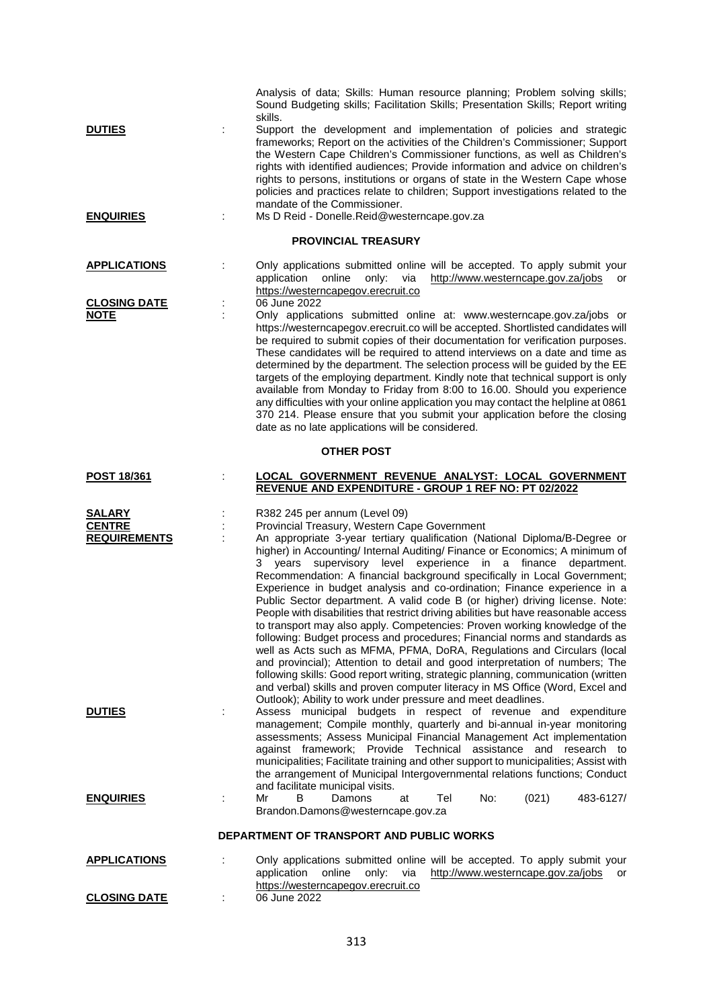| <b>DUTIES</b><br><b>ENQUIRIES</b>                         | t      | Analysis of data; Skills: Human resource planning; Problem solving skills;<br>Sound Budgeting skills; Facilitation Skills; Presentation Skills; Report writing<br>skills.<br>Support the development and implementation of policies and strategic<br>frameworks; Report on the activities of the Children's Commissioner; Support<br>the Western Cape Children's Commissioner functions, as well as Children's<br>rights with identified audiences; Provide information and advice on children's<br>rights to persons, institutions or organs of state in the Western Cape whose<br>policies and practices relate to children; Support investigations related to the<br>mandate of the Commissioner.<br>Ms D Reid - Donelle.Reid@westerncape.gov.za                                                                                                                                                                                                                                                                                                                                                                                                                                                        |
|-----------------------------------------------------------|--------|------------------------------------------------------------------------------------------------------------------------------------------------------------------------------------------------------------------------------------------------------------------------------------------------------------------------------------------------------------------------------------------------------------------------------------------------------------------------------------------------------------------------------------------------------------------------------------------------------------------------------------------------------------------------------------------------------------------------------------------------------------------------------------------------------------------------------------------------------------------------------------------------------------------------------------------------------------------------------------------------------------------------------------------------------------------------------------------------------------------------------------------------------------------------------------------------------------|
|                                                           |        | <b>PROVINCIAL TREASURY</b>                                                                                                                                                                                                                                                                                                                                                                                                                                                                                                                                                                                                                                                                                                                                                                                                                                                                                                                                                                                                                                                                                                                                                                                 |
| <b>APPLICATIONS</b><br><b>CLOSING DATE</b><br><b>NOTE</b> | ÷      | Only applications submitted online will be accepted. To apply submit your<br>http://www.westerncape.gov.za/jobs<br>application<br>online<br>only:<br>via<br>or<br>https://westerncapegov.erecruit.co<br>06 June 2022<br>Only applications submitted online at: www.westerncape.gov.za/jobs or<br>https://westerncapegov.erecruit.co will be accepted. Shortlisted candidates will<br>be required to submit copies of their documentation for verification purposes.<br>These candidates will be required to attend interviews on a date and time as<br>determined by the department. The selection process will be guided by the EE<br>targets of the employing department. Kindly note that technical support is only<br>available from Monday to Friday from 8:00 to 16.00. Should you experience<br>any difficulties with your online application you may contact the helpline at 0861<br>370 214. Please ensure that you submit your application before the closing<br>date as no late applications will be considered.                                                                                                                                                                                |
|                                                           |        | <b>OTHER POST</b>                                                                                                                                                                                                                                                                                                                                                                                                                                                                                                                                                                                                                                                                                                                                                                                                                                                                                                                                                                                                                                                                                                                                                                                          |
| <b>POST 18/361</b>                                        |        | LOCAL GOVERNMENT REVENUE ANALYST: LOCAL GOVERNMENT<br>REVENUE AND EXPENDITURE - GROUP 1 REF NO: PT 02/2022                                                                                                                                                                                                                                                                                                                                                                                                                                                                                                                                                                                                                                                                                                                                                                                                                                                                                                                                                                                                                                                                                                 |
| <b>SALARY</b><br><b>CENTRE</b><br><b>REQUIREMENTS</b>     | ÷<br>t | R382 245 per annum (Level 09)<br>Provincial Treasury, Western Cape Government<br>An appropriate 3-year tertiary qualification (National Diploma/B-Degree or<br>higher) in Accounting/ Internal Auditing/ Finance or Economics; A minimum of<br>years supervisory level experience in a finance department.<br>3<br>Recommendation: A financial background specifically in Local Government;<br>Experience in budget analysis and co-ordination; Finance experience in a<br>Public Sector department. A valid code B (or higher) driving license. Note:<br>People with disabilities that restrict driving abilities but have reasonable access<br>to transport may also apply. Competencies: Proven working knowledge of the<br>following: Budget process and procedures; Financial norms and standards as<br>well as Acts such as MFMA, PFMA, DoRA, Regulations and Circulars (local<br>and provincial); Attention to detail and good interpretation of numbers; The<br>following skills: Good report writing, strategic planning, communication (written<br>and verbal) skills and proven computer literacy in MS Office (Word, Excel and<br>Outlook); Ability to work under pressure and meet deadlines. |
| <b>DUTIES</b>                                             |        | Assess municipal budgets in respect of revenue and expenditure<br>management; Compile monthly, quarterly and bi-annual in-year monitoring<br>assessments; Assess Municipal Financial Management Act implementation<br>against framework; Provide Technical assistance<br>and<br>research to<br>municipalities; Facilitate training and other support to municipalities; Assist with<br>the arrangement of Municipal Intergovernmental relations functions; Conduct<br>and facilitate municipal visits.                                                                                                                                                                                                                                                                                                                                                                                                                                                                                                                                                                                                                                                                                                     |
| <b>ENQUIRIES</b>                                          |        | Mr<br>Damons<br>(021)<br>483-6127/<br>B<br>Tel<br>No:<br>at<br>Brandon.Damons@westerncape.gov.za                                                                                                                                                                                                                                                                                                                                                                                                                                                                                                                                                                                                                                                                                                                                                                                                                                                                                                                                                                                                                                                                                                           |
|                                                           |        | DEPARTMENT OF TRANSPORT AND PUBLIC WORKS                                                                                                                                                                                                                                                                                                                                                                                                                                                                                                                                                                                                                                                                                                                                                                                                                                                                                                                                                                                                                                                                                                                                                                   |
| <b>APPLICATIONS</b>                                       |        | Only applications submitted online will be accepted. To apply submit your<br>application<br>online<br>only:<br>http://www.westerncape.gov.za/jobs<br>via<br>or<br>https://westerncapegov.erecruit.co                                                                                                                                                                                                                                                                                                                                                                                                                                                                                                                                                                                                                                                                                                                                                                                                                                                                                                                                                                                                       |

**CLOSING DATE** : 06 June 2022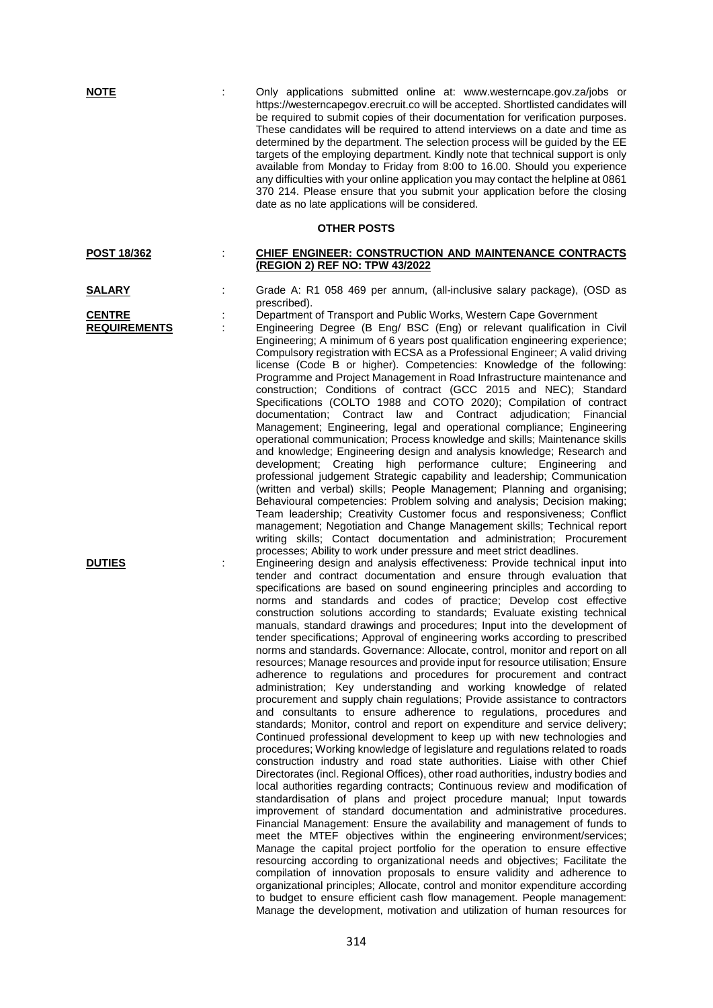| <b>NOTE</b>                          | Only applications submitted online at: www.westerncape.gov.za/jobs or<br>https://westerncapegov.erecruit.co will be accepted. Shortlisted candidates will<br>be required to submit copies of their documentation for verification purposes.<br>These candidates will be required to attend interviews on a date and time as<br>determined by the department. The selection process will be guided by the EE<br>targets of the employing department. Kindly note that technical support is only<br>available from Monday to Friday from 8:00 to 16.00. Should you experience<br>any difficulties with your online application you may contact the helpline at 0861<br>370 214. Please ensure that you submit your application before the closing<br>date as no late applications will be considered.<br><b>OTHER POSTS</b>                                                                                                                                                                                                                                                                                                                                                                                                                                                                                                                                                                                                                                                                                                                                                                                                                                                                                                                                                                                                                                                                                                                                                                                                                                                                                                                                                                                                                                                                                 |
|--------------------------------------|-----------------------------------------------------------------------------------------------------------------------------------------------------------------------------------------------------------------------------------------------------------------------------------------------------------------------------------------------------------------------------------------------------------------------------------------------------------------------------------------------------------------------------------------------------------------------------------------------------------------------------------------------------------------------------------------------------------------------------------------------------------------------------------------------------------------------------------------------------------------------------------------------------------------------------------------------------------------------------------------------------------------------------------------------------------------------------------------------------------------------------------------------------------------------------------------------------------------------------------------------------------------------------------------------------------------------------------------------------------------------------------------------------------------------------------------------------------------------------------------------------------------------------------------------------------------------------------------------------------------------------------------------------------------------------------------------------------------------------------------------------------------------------------------------------------------------------------------------------------------------------------------------------------------------------------------------------------------------------------------------------------------------------------------------------------------------------------------------------------------------------------------------------------------------------------------------------------------------------------------------------------------------------------------------------------|
| <b>POST 18/362</b>                   | CHIEF ENGINEER: CONSTRUCTION AND MAINTENANCE CONTRACTS                                                                                                                                                                                                                                                                                                                                                                                                                                                                                                                                                                                                                                                                                                                                                                                                                                                                                                                                                                                                                                                                                                                                                                                                                                                                                                                                                                                                                                                                                                                                                                                                                                                                                                                                                                                                                                                                                                                                                                                                                                                                                                                                                                                                                                                    |
|                                      | (REGION 2) REF NO: TPW 43/2022                                                                                                                                                                                                                                                                                                                                                                                                                                                                                                                                                                                                                                                                                                                                                                                                                                                                                                                                                                                                                                                                                                                                                                                                                                                                                                                                                                                                                                                                                                                                                                                                                                                                                                                                                                                                                                                                                                                                                                                                                                                                                                                                                                                                                                                                            |
| <u>SALARY</u>                        | Grade A: R1 058 469 per annum, (all-inclusive salary package), (OSD as<br>prescribed).                                                                                                                                                                                                                                                                                                                                                                                                                                                                                                                                                                                                                                                                                                                                                                                                                                                                                                                                                                                                                                                                                                                                                                                                                                                                                                                                                                                                                                                                                                                                                                                                                                                                                                                                                                                                                                                                                                                                                                                                                                                                                                                                                                                                                    |
| <b>CENTRE</b><br><b>REQUIREMENTS</b> | Department of Transport and Public Works, Western Cape Government<br>Engineering Degree (B Eng/ BSC (Eng) or relevant qualification in Civil<br>Engineering; A minimum of 6 years post qualification engineering experience;<br>Compulsory registration with ECSA as a Professional Engineer; A valid driving<br>license (Code B or higher). Competencies: Knowledge of the following:<br>Programme and Project Management in Road Infrastructure maintenance and<br>construction; Conditions of contract (GCC 2015 and NEC); Standard<br>Specifications (COLTO 1988 and COTO 2020); Compilation of contract<br>documentation; Contract law and Contract adjudication; Financial<br>Management; Engineering, legal and operational compliance; Engineering<br>operational communication; Process knowledge and skills; Maintenance skills<br>and knowledge; Engineering design and analysis knowledge; Research and<br>development; Creating high performance culture; Engineering<br>and<br>professional judgement Strategic capability and leadership; Communication<br>(written and verbal) skills; People Management; Planning and organising;<br>Behavioural competencies: Problem solving and analysis; Decision making;<br>Team leadership; Creativity Customer focus and responsiveness; Conflict<br>management; Negotiation and Change Management skills; Technical report<br>writing skills; Contact documentation and administration; Procurement<br>processes; Ability to work under pressure and meet strict deadlines.                                                                                                                                                                                                                                                                                                                                                                                                                                                                                                                                                                                                                                                                                                                                                                      |
| <b>DUTIES</b>                        | Engineering design and analysis effectiveness: Provide technical input into<br>tender and contract documentation and ensure through evaluation that<br>specifications are based on sound engineering principles and according to<br>norms and standards and codes of practice; Develop cost effective<br>construction solutions according to standards; Evaluate existing technical<br>manuals, standard drawings and procedures; Input into the development of<br>tender specifications; Approval of engineering works according to prescribed<br>norms and standards. Governance: Allocate, control, monitor and report on all<br>resources; Manage resources and provide input for resource utilisation; Ensure<br>adherence to regulations and procedures for procurement and contract<br>administration; Key understanding and working knowledge of related<br>procurement and supply chain regulations; Provide assistance to contractors<br>and consultants to ensure adherence to regulations, procedures and<br>standards; Monitor, control and report on expenditure and service delivery;<br>Continued professional development to keep up with new technologies and<br>procedures; Working knowledge of legislature and regulations related to roads<br>construction industry and road state authorities. Liaise with other Chief<br>Directorates (incl. Regional Offices), other road authorities, industry bodies and<br>local authorities regarding contracts; Continuous review and modification of<br>standardisation of plans and project procedure manual; Input towards<br>improvement of standard documentation and administrative procedures.<br>Financial Management: Ensure the availability and management of funds to<br>meet the MTEF objectives within the engineering environment/services;<br>Manage the capital project portfolio for the operation to ensure effective<br>resourcing according to organizational needs and objectives; Facilitate the<br>compilation of innovation proposals to ensure validity and adherence to<br>organizational principles; Allocate, control and monitor expenditure according<br>to budget to ensure efficient cash flow management. People management:<br>Manage the development, motivation and utilization of human resources for |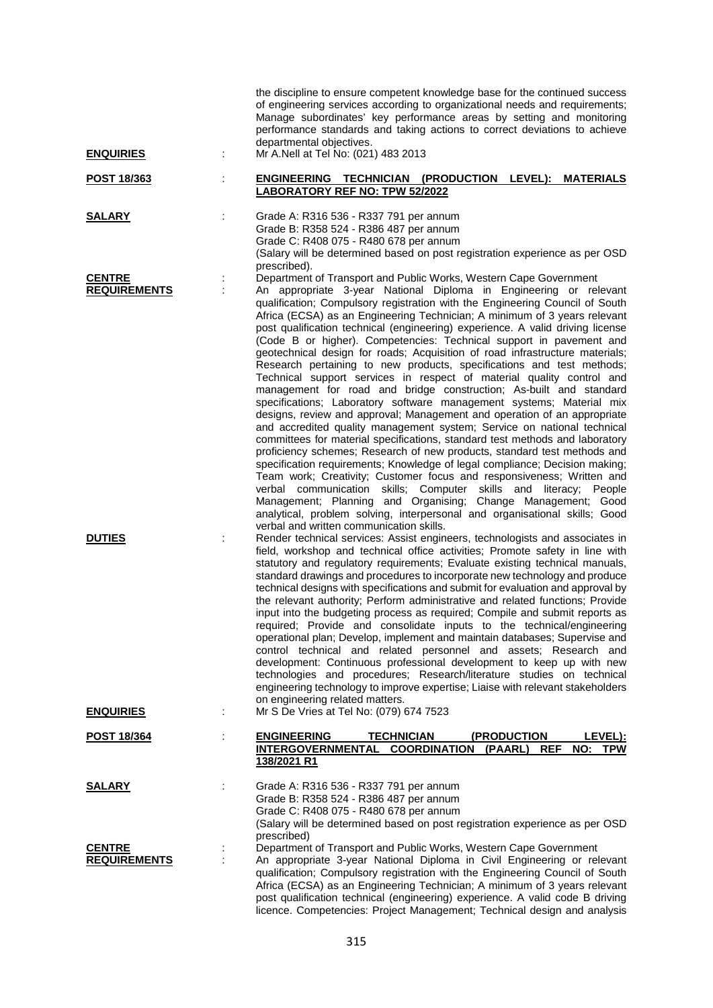| <b>ENQUIRIES</b>                     | ÷ | the discipline to ensure competent knowledge base for the continued success<br>of engineering services according to organizational needs and requirements;<br>Manage subordinates' key performance areas by setting and monitoring<br>performance standards and taking actions to correct deviations to achieve<br>departmental objectives.<br>Mr A.Nell at Tel No: (021) 483 2013                                                                                                                                                                                                                                                                                                                                                                                                                                                                                                                                                                                                                                                                                                                                                                                                                                                                                                                                                                                                                                                                                                                                                         |
|--------------------------------------|---|--------------------------------------------------------------------------------------------------------------------------------------------------------------------------------------------------------------------------------------------------------------------------------------------------------------------------------------------------------------------------------------------------------------------------------------------------------------------------------------------------------------------------------------------------------------------------------------------------------------------------------------------------------------------------------------------------------------------------------------------------------------------------------------------------------------------------------------------------------------------------------------------------------------------------------------------------------------------------------------------------------------------------------------------------------------------------------------------------------------------------------------------------------------------------------------------------------------------------------------------------------------------------------------------------------------------------------------------------------------------------------------------------------------------------------------------------------------------------------------------------------------------------------------------|
| <u>POST 18/363</u>                   |   | ENGINEERING TECHNICIAN (PRODUCTION LEVEL):<br><b>MATERIALS</b><br><b>LABORATORY REF NO: TPW 52/2022</b>                                                                                                                                                                                                                                                                                                                                                                                                                                                                                                                                                                                                                                                                                                                                                                                                                                                                                                                                                                                                                                                                                                                                                                                                                                                                                                                                                                                                                                    |
| <b>SALARY</b>                        |   | Grade A: R316 536 - R337 791 per annum<br>Grade B: R358 524 - R386 487 per annum<br>Grade C: R408 075 - R480 678 per annum<br>(Salary will be determined based on post registration experience as per OSD<br>prescribed).                                                                                                                                                                                                                                                                                                                                                                                                                                                                                                                                                                                                                                                                                                                                                                                                                                                                                                                                                                                                                                                                                                                                                                                                                                                                                                                  |
| <b>CENTRE</b><br><b>REQUIREMENTS</b> | ÷ | Department of Transport and Public Works, Western Cape Government<br>An appropriate 3-year National Diploma in Engineering or relevant<br>qualification; Compulsory registration with the Engineering Council of South<br>Africa (ECSA) as an Engineering Technician; A minimum of 3 years relevant<br>post qualification technical (engineering) experience. A valid driving license<br>(Code B or higher). Competencies: Technical support in pavement and<br>geotechnical design for roads; Acquisition of road infrastructure materials;<br>Research pertaining to new products, specifications and test methods;<br>Technical support services in respect of material quality control and<br>management for road and bridge construction; As-built and standard<br>specifications; Laboratory software management systems; Material mix<br>designs, review and approval; Management and operation of an appropriate<br>and accredited quality management system; Service on national technical<br>committees for material specifications, standard test methods and laboratory<br>proficiency schemes; Research of new products, standard test methods and<br>specification requirements; Knowledge of legal compliance; Decision making;<br>Team work; Creativity; Customer focus and responsiveness; Written and<br>verbal communication skills; Computer skills and literacy; People<br>Management; Planning and Organising; Change Management; Good<br>analytical, problem solving, interpersonal and organisational skills; Good |
| <b>DUTIES</b>                        |   | verbal and written communication skills.<br>Render technical services: Assist engineers, technologists and associates in<br>field, workshop and technical office activities; Promote safety in line with<br>statutory and regulatory requirements; Evaluate existing technical manuals,<br>standard drawings and procedures to incorporate new technology and produce<br>technical designs with specifications and submit for evaluation and approval by<br>the relevant authority; Perform administrative and related functions; Provide<br>input into the budgeting process as required; Compile and submit reports as<br>required; Provide and consolidate inputs to the technical/engineering<br>operational plan; Develop, implement and maintain databases; Supervise and<br>control technical and related personnel and assets; Research and<br>development: Continuous professional development to keep up with new<br>technologies and procedures; Research/literature studies on technical<br>engineering technology to improve expertise; Liaise with relevant stakeholders<br>on engineering related matters.                                                                                                                                                                                                                                                                                                                                                                                                                  |
| <b>ENQUIRIES</b>                     |   | Mr S De Vries at Tel No: (079) 674 7523                                                                                                                                                                                                                                                                                                                                                                                                                                                                                                                                                                                                                                                                                                                                                                                                                                                                                                                                                                                                                                                                                                                                                                                                                                                                                                                                                                                                                                                                                                    |
| <b>POST 18/364</b>                   |   | <b>ENGINEERING</b><br><b>TECHNICIAN</b><br>(PRODUCTION<br>LEVEL):<br><b>INTERGOVERNMENTAL</b><br><b>COORDINATION</b><br>(PAARL)<br><b>REF</b><br>NO: TPW<br>138/2021 R1                                                                                                                                                                                                                                                                                                                                                                                                                                                                                                                                                                                                                                                                                                                                                                                                                                                                                                                                                                                                                                                                                                                                                                                                                                                                                                                                                                    |
| <b>SALARY</b>                        |   | Grade A: R316 536 - R337 791 per annum<br>Grade B: R358 524 - R386 487 per annum<br>Grade C: R408 075 - R480 678 per annum<br>(Salary will be determined based on post registration experience as per OSD<br>prescribed)                                                                                                                                                                                                                                                                                                                                                                                                                                                                                                                                                                                                                                                                                                                                                                                                                                                                                                                                                                                                                                                                                                                                                                                                                                                                                                                   |
| <b>CENTRE</b><br><b>REQUIREMENTS</b> |   | Department of Transport and Public Works, Western Cape Government<br>An appropriate 3-year National Diploma in Civil Engineering or relevant<br>qualification; Compulsory registration with the Engineering Council of South<br>Africa (ECSA) as an Engineering Technician; A minimum of 3 years relevant<br>post qualification technical (engineering) experience. A valid code B driving<br>licence. Competencies: Project Management; Technical design and analysis                                                                                                                                                                                                                                                                                                                                                                                                                                                                                                                                                                                                                                                                                                                                                                                                                                                                                                                                                                                                                                                                     |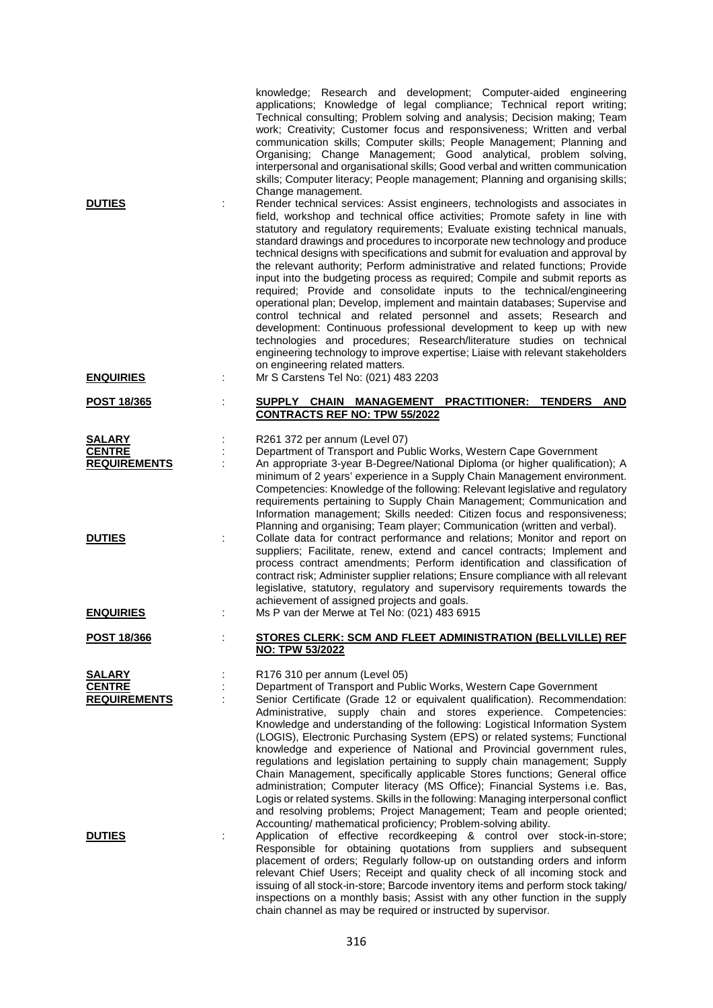| <b>DUTIES</b>                                         |   | knowledge; Research and development; Computer-aided engineering<br>applications; Knowledge of legal compliance; Technical report writing;<br>Technical consulting; Problem solving and analysis; Decision making; Team<br>work; Creativity; Customer focus and responsiveness; Written and verbal<br>communication skills; Computer skills; People Management; Planning and<br>Organising; Change Management; Good analytical, problem solving,<br>interpersonal and organisational skills; Good verbal and written communication<br>skills; Computer literacy; People management; Planning and organising skills;<br>Change management.<br>Render technical services: Assist engineers, technologists and associates in<br>field, workshop and technical office activities; Promote safety in line with<br>statutory and regulatory requirements; Evaluate existing technical manuals,<br>standard drawings and procedures to incorporate new technology and produce<br>technical designs with specifications and submit for evaluation and approval by<br>the relevant authority; Perform administrative and related functions; Provide<br>input into the budgeting process as required; Compile and submit reports as<br>required; Provide and consolidate inputs to the technical/engineering<br>operational plan; Develop, implement and maintain databases; Supervise and<br>control technical and related personnel and assets; Research and<br>development: Continuous professional development to keep up with new<br>technologies and procedures; Research/literature studies on technical<br>engineering technology to improve expertise; Liaise with relevant stakeholders |
|-------------------------------------------------------|---|----------------------------------------------------------------------------------------------------------------------------------------------------------------------------------------------------------------------------------------------------------------------------------------------------------------------------------------------------------------------------------------------------------------------------------------------------------------------------------------------------------------------------------------------------------------------------------------------------------------------------------------------------------------------------------------------------------------------------------------------------------------------------------------------------------------------------------------------------------------------------------------------------------------------------------------------------------------------------------------------------------------------------------------------------------------------------------------------------------------------------------------------------------------------------------------------------------------------------------------------------------------------------------------------------------------------------------------------------------------------------------------------------------------------------------------------------------------------------------------------------------------------------------------------------------------------------------------------------------------------------------------------------------------------------------------|
| <b>ENQUIRIES</b>                                      | t | on engineering related matters.<br>Mr S Carstens Tel No: (021) 483 2203                                                                                                                                                                                                                                                                                                                                                                                                                                                                                                                                                                                                                                                                                                                                                                                                                                                                                                                                                                                                                                                                                                                                                                                                                                                                                                                                                                                                                                                                                                                                                                                                                |
| POST 18/365                                           |   | SUPPLY CHAIN MANAGEMENT PRACTITIONER: TENDERS AND<br><b>CONTRACTS REF NO: TPW 55/2022</b>                                                                                                                                                                                                                                                                                                                                                                                                                                                                                                                                                                                                                                                                                                                                                                                                                                                                                                                                                                                                                                                                                                                                                                                                                                                                                                                                                                                                                                                                                                                                                                                              |
| <b>SALARY</b><br><b>CENTRE</b><br><b>REQUIREMENTS</b> |   | R261 372 per annum (Level 07)<br>Department of Transport and Public Works, Western Cape Government<br>An appropriate 3-year B-Degree/National Diploma (or higher qualification); A<br>minimum of 2 years' experience in a Supply Chain Management environment.<br>Competencies: Knowledge of the following: Relevant legislative and regulatory<br>requirements pertaining to Supply Chain Management; Communication and<br>Information management; Skills needed: Citizen focus and responsiveness;                                                                                                                                                                                                                                                                                                                                                                                                                                                                                                                                                                                                                                                                                                                                                                                                                                                                                                                                                                                                                                                                                                                                                                                   |
| <b>DUTIES</b><br><b>ENQUIRIES</b>                     |   | Planning and organising; Team player; Communication (written and verbal).<br>Collate data for contract performance and relations; Monitor and report on<br>suppliers; Facilitate, renew, extend and cancel contracts; Implement and<br>process contract amendments; Perform identification and classification of<br>contract risk; Administer supplier relations; Ensure compliance with all relevant<br>legislative, statutory, regulatory and supervisory requirements towards the<br>achievement of assigned projects and goals.<br>Ms P van der Merwe at Tel No: (021) 483 6915                                                                                                                                                                                                                                                                                                                                                                                                                                                                                                                                                                                                                                                                                                                                                                                                                                                                                                                                                                                                                                                                                                    |
| <u>POST 18/366</u>                                    |   | <b>STORES CLERK: SCM AND FLEET ADMINISTRATION (BELLVILLE) REF</b><br>NO: TPW 53/2022                                                                                                                                                                                                                                                                                                                                                                                                                                                                                                                                                                                                                                                                                                                                                                                                                                                                                                                                                                                                                                                                                                                                                                                                                                                                                                                                                                                                                                                                                                                                                                                                   |
| <b>SALARY</b><br><b>CENTRE</b><br><b>REQUIREMENTS</b> |   | R176 310 per annum (Level 05)<br>Department of Transport and Public Works, Western Cape Government<br>Senior Certificate (Grade 12 or equivalent qualification). Recommendation:<br>Administrative, supply chain and stores experience. Competencies:<br>Knowledge and understanding of the following: Logistical Information System<br>(LOGIS), Electronic Purchasing System (EPS) or related systems; Functional<br>knowledge and experience of National and Provincial government rules,<br>regulations and legislation pertaining to supply chain management; Supply<br>Chain Management, specifically applicable Stores functions; General office<br>administration; Computer literacy (MS Office); Financial Systems i.e. Bas,<br>Logis or related systems. Skills in the following: Managing interpersonal conflict<br>and resolving problems; Project Management; Team and people oriented;                                                                                                                                                                                                                                                                                                                                                                                                                                                                                                                                                                                                                                                                                                                                                                                    |
| <b>DUTIES</b>                                         |   | Accounting/ mathematical proficiency; Problem-solving ability.<br>Application of effective recordkeeping & control over stock-in-store;<br>Responsible for obtaining quotations from suppliers and subsequent<br>placement of orders; Regularly follow-up on outstanding orders and inform<br>relevant Chief Users; Receipt and quality check of all incoming stock and<br>issuing of all stock-in-store; Barcode inventory items and perform stock taking/<br>inspections on a monthly basis; Assist with any other function in the supply                                                                                                                                                                                                                                                                                                                                                                                                                                                                                                                                                                                                                                                                                                                                                                                                                                                                                                                                                                                                                                                                                                                                            |

chain channel as may be required or instructed by supervisor.